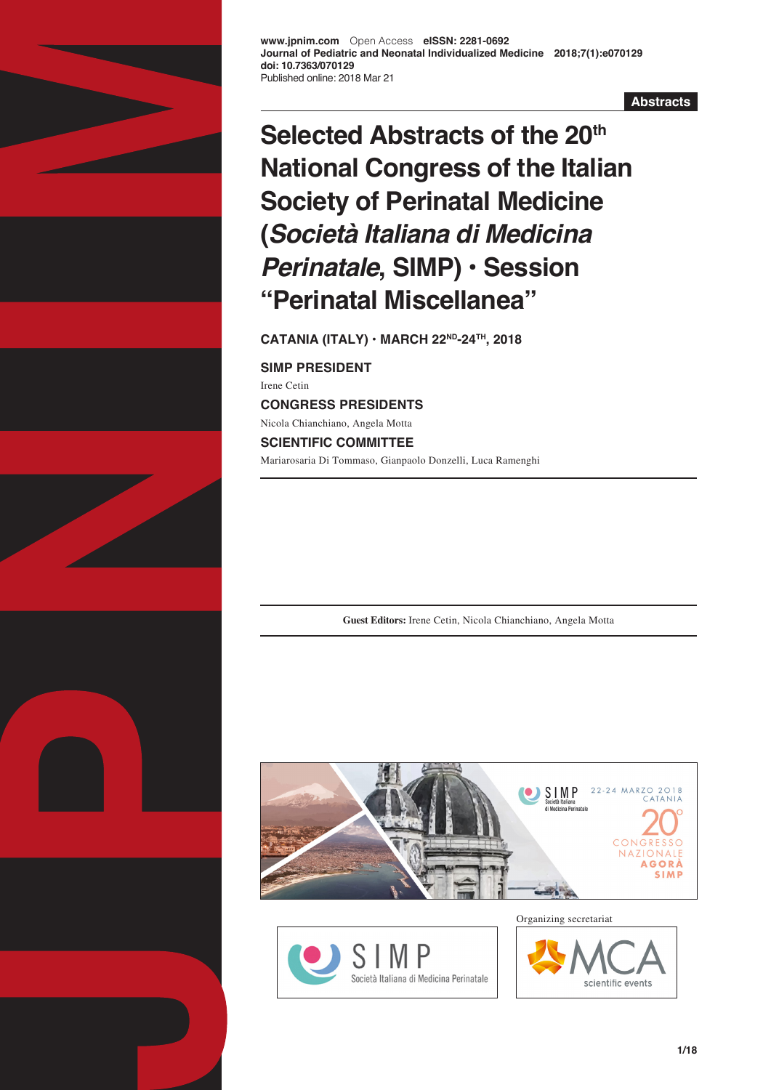

**www.jpnim.com** Open Access **eISSN: 2281-0692 Journal of Pediatric and Neonatal Individualized Medicine 2018;7(1):e070129 doi: 10.7363/070129** Published online: 2018 Mar 21

**Abstracts**

# **Selected Abstracts of the 20th National Congress of the Italian Society of Perinatal Medicine (***Società Italiana di Medicina Perinatale***, SIMP) • Session "Perinatal Miscellanea"**

**CATANIA (ITALY) • MARCH 22ND-24TH, 2018**

**SIMP PRESIDENT** Irene Cetin **CONGRESS PRESIDENTS** Nicola Chianchiano, Angela Motta **SCIENTIFIC COMMITTEE** Mariarosaria Di Tommaso, Gianpaolo Donzelli, Luca Ramenghi

**Guest Editors:** Irene Cetin, Nicola Chianchiano, Angela Motta





Organizing secretariat

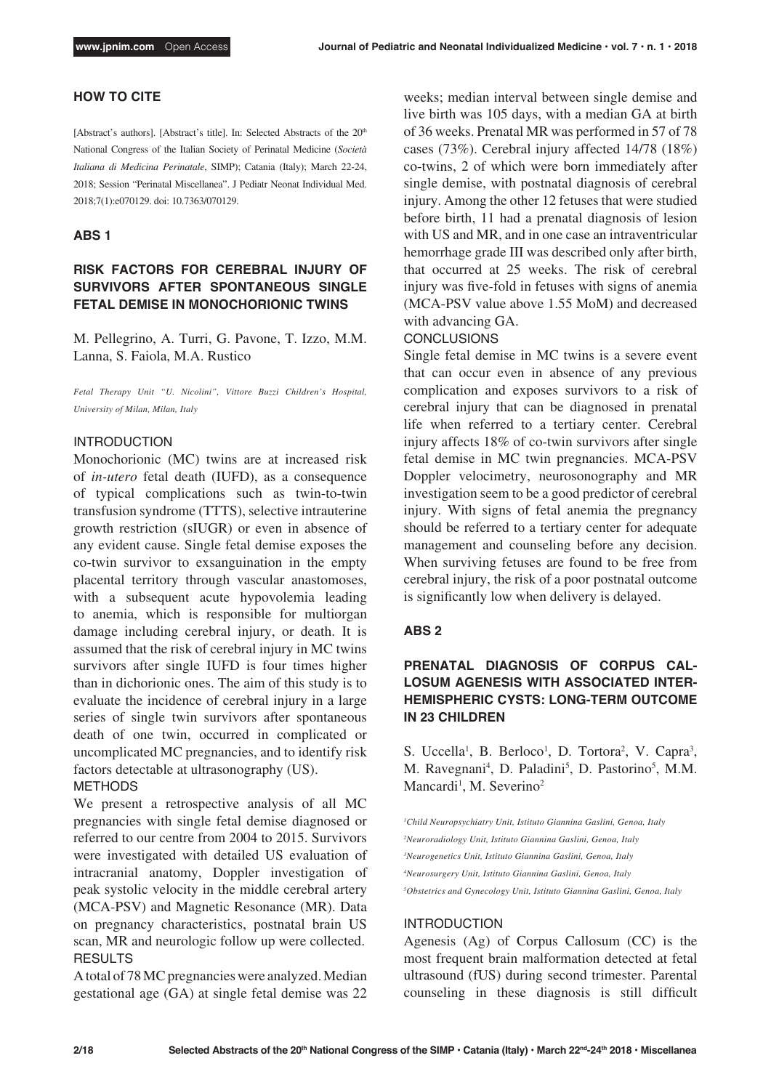## **HOW TO CITE**

[Abstract's authors]. [Abstract's title]. In: Selected Abstracts of the 20<sup>th</sup> National Congress of the Italian Society of Perinatal Medicine (*Società Italiana di Medicina Perinatale*, SIMP); Catania (Italy); March 22-24, 2018; Session "Perinatal Miscellanea". J Pediatr Neonat Individual Med. 2018;7(1):e070129. doi: 10.7363/070129.

#### **ABS 1**

# **RISK FACTORS FOR CEREBRAL INJURY OF SURVIVORS AFTER SPONTANEOUS SINGLE FETAL DEMISE IN MONOCHORIONIC TWINS**

M. Pellegrino, A. Turri, G. Pavone, T. Izzo, M.M. Lanna, S. Faiola, M.A. Rustico

*Fetal Therapy Unit "U. Nicolini", Vittore Buzzi Children's Hospital, University of Milan, Milan, Italy*

#### INTRODUCTION

Monochorionic (MC) twins are at increased risk of *in-utero* fetal death (IUFD), as a consequence of typical complications such as twin-to-twin transfusion syndrome (TTTS), selective intrauterine growth restriction (sIUGR) or even in absence of any evident cause. Single fetal demise exposes the co-twin survivor to exsanguination in the empty placental territory through vascular anastomoses, with a subsequent acute hypovolemia leading to anemia, which is responsible for multiorgan damage including cerebral injury, or death. It is assumed that the risk of cerebral injury in MC twins survivors after single IUFD is four times higher than in dichorionic ones. The aim of this study is to evaluate the incidence of cerebral injury in a large series of single twin survivors after spontaneous death of one twin, occurred in complicated or uncomplicated MC pregnancies, and to identify risk factors detectable at ultrasonography (US).

## METHODS

We present a retrospective analysis of all MC pregnancies with single fetal demise diagnosed or referred to our centre from 2004 to 2015. Survivors were investigated with detailed US evaluation of intracranial anatomy, Doppler investigation of peak systolic velocity in the middle cerebral artery (MCA-PSV) and Magnetic Resonance (MR). Data on pregnancy characteristics, postnatal brain US scan, MR and neurologic follow up were collected. RESULTS

A total of 78 MC pregnancies were analyzed. Median gestational age (GA) at single fetal demise was 22 weeks; median interval between single demise and live birth was 105 days, with a median GA at birth of 36 weeks. Prenatal MR was performed in 57 of 78 cases (73%). Cerebral injury affected 14/78 (18%) co-twins, 2 of which were born immediately after single demise, with postnatal diagnosis of cerebral injury. Among the other 12 fetuses that were studied before birth, 11 had a prenatal diagnosis of lesion with US and MR, and in one case an intraventricular hemorrhage grade III was described only after birth, that occurred at 25 weeks. The risk of cerebral injury was five-fold in fetuses with signs of anemia (MCA-PSV value above 1.55 MoM) and decreased with advancing GA.

## **CONCLUSIONS**

Single fetal demise in MC twins is a severe event that can occur even in absence of any previous complication and exposes survivors to a risk of cerebral injury that can be diagnosed in prenatal life when referred to a tertiary center. Cerebral injury affects 18% of co-twin survivors after single fetal demise in MC twin pregnancies. MCA-PSV Doppler velocimetry, neurosonography and MR investigation seem to be a good predictor of cerebral injury. With signs of fetal anemia the pregnancy should be referred to a tertiary center for adequate management and counseling before any decision. When surviving fetuses are found to be free from cerebral injury, the risk of a poor postnatal outcome is significantly low when delivery is delayed.

#### **ABS 2**

# **PRENATAL DIAGNOSIS OF CORPUS CAL-LOSUM AGENESIS WITH ASSOCIATED INTER-HEMISPHERIC CYSTS: LONG-TERM OUTCOME IN 23 CHILDREN**

S. Uccella<sup>1</sup>, B. Berloco<sup>1</sup>, D. Tortora<sup>2</sup>, V. Capra<sup>3</sup>, M. Ravegnani<sup>4</sup>, D. Paladini<sup>5</sup>, D. Pastorino<sup>5</sup>, M.M. Mancardi<sup>1</sup>, M. Severino<sup>2</sup>

 *Child Neuropsychiatry Unit, Istituto Giannina Gaslini, Genoa, Italy Neuroradiology Unit, Istituto Giannina Gaslini, Genoa, Italy Neurogenetics Unit, Istituto Giannina Gaslini, Genoa, Italy Neurosurgery Unit, Istituto Giannina Gaslini, Genoa, Italy Obstetrics and Gynecology Unit, Istituto Giannina Gaslini, Genoa, Italy* 

#### INTRODUCTION

Agenesis (Ag) of Corpus Callosum (CC) is the most frequent brain malformation detected at fetal ultrasound (fUS) during second trimester. Parental counseling in these diagnosis is still difficult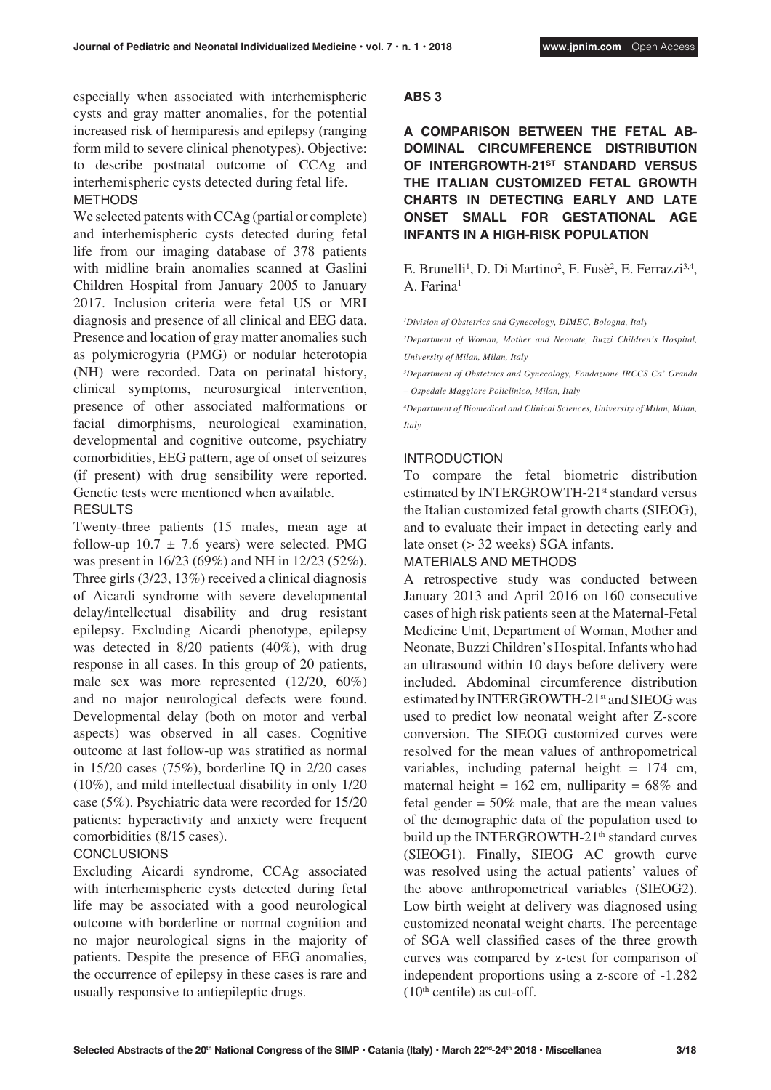especially when associated with interhemispheric cysts and gray matter anomalies, for the potential increased risk of hemiparesis and epilepsy (ranging form mild to severe clinical phenotypes). Objective: to describe postnatal outcome of CCAg and interhemispheric cysts detected during fetal life. METHODS

We selected patents with CCAg (partial or complete) and interhemispheric cysts detected during fetal life from our imaging database of 378 patients with midline brain anomalies scanned at Gaslini Children Hospital from January 2005 to January 2017. Inclusion criteria were fetal US or MRI diagnosis and presence of all clinical and EEG data. Presence and location of gray matter anomalies such as polymicrogyria (PMG) or nodular heterotopia (NH) were recorded. Data on perinatal history, clinical symptoms, neurosurgical intervention, presence of other associated malformations or facial dimorphisms, neurological examination, developmental and cognitive outcome, psychiatry comorbidities, EEG pattern, age of onset of seizures (if present) with drug sensibility were reported. Genetic tests were mentioned when available. **RESULTS** 

Twenty-three patients (15 males, mean age at follow-up  $10.7 \pm 7.6$  years) were selected. PMG was present in 16/23 (69%) and NH in 12/23 (52%). Three girls (3/23, 13%) received a clinical diagnosis of Aicardi syndrome with severe developmental delay/intellectual disability and drug resistant epilepsy. Excluding Aicardi phenotype, epilepsy was detected in 8/20 patients (40%), with drug response in all cases. In this group of 20 patients, male sex was more represented (12/20, 60%) and no major neurological defects were found. Developmental delay (both on motor and verbal aspects) was observed in all cases. Cognitive outcome at last follow-up was stratified as normal in 15/20 cases (75%), borderline IQ in 2/20 cases (10%), and mild intellectual disability in only 1/20 case (5%). Psychiatric data were recorded for 15/20 patients: hyperactivity and anxiety were frequent comorbidities (8/15 cases).

## **CONCLUSIONS**

Excluding Aicardi syndrome, CCAg associated with interhemispheric cysts detected during fetal life may be associated with a good neurological outcome with borderline or normal cognition and no major neurological signs in the majority of patients. Despite the presence of EEG anomalies, the occurrence of epilepsy in these cases is rare and usually responsive to antiepileptic drugs.

## **ABS 3**

**A COMPARISON BETWEEN THE FETAL AB-DOMINAL CIRCUMFERENCE DISTRIBUTION OF INTERGROWTH-21ST STANDARD VERSUS THE ITALIAN CUSTOMIZED FETAL GROWTH CHARTS IN DETECTING EARLY AND LATE ONSET SMALL FOR GESTATIONAL AGE INFANTS IN A HIGH-RISK POPULATION**

# E. Brunelli<sup>1</sup>, D. Di Martino<sup>2</sup>, F. Fusè<sup>2</sup>, E. Ferrazzi<sup>3,4</sup>, A. Farina<sup>1</sup>

*1 Division of Obstetrics and Gynecology, DIMEC, Bologna, Italy*

*2 Department of Woman, Mother and Neonate, Buzzi Children's Hospital, University of Milan, Milan, Italy*

*3 Department of Obstetrics and Gynecology, Fondazione IRCCS Ca' Granda – Ospedale Maggiore Policlinico, Milan, Italy*

*4 Department of Biomedical and Clinical Sciences, University of Milan, Milan, Italy*

## INTRODUCTION

To compare the fetal biometric distribution estimated by INTERGROWTH-21<sup>st</sup> standard versus the Italian customized fetal growth charts (SIEOG), and to evaluate their impact in detecting early and late onset (> 32 weeks) SGA infants.

## MATERIALS AND METHODS

A retrospective study was conducted between January 2013 and April 2016 on 160 consecutive cases of high risk patients seen at the Maternal-Fetal Medicine Unit, Department of Woman, Mother and Neonate, Buzzi Children's Hospital. Infants who had an ultrasound within 10 days before delivery were included. Abdominal circumference distribution estimated by INTERGROWTH-21<sup>st</sup> and SIEOG was used to predict low neonatal weight after Z-score conversion. The SIEOG customized curves were resolved for the mean values of anthropometrical variables, including paternal height = 174 cm, maternal height =  $162$  cm, nulliparity =  $68\%$  and fetal gender  $= 50\%$  male, that are the mean values of the demographic data of the population used to build up the INTERGROWTH- $21<sup>th</sup>$  standard curves (SIEOG1). Finally, SIEOG AC growth curve was resolved using the actual patients' values of the above anthropometrical variables (SIEOG2). Low birth weight at delivery was diagnosed using customized neonatal weight charts. The percentage of SGA well classified cases of the three growth curves was compared by z-test for comparison of independent proportions using a z-score of -1.282  $(10<sup>th</sup> centile)$  as cut-off.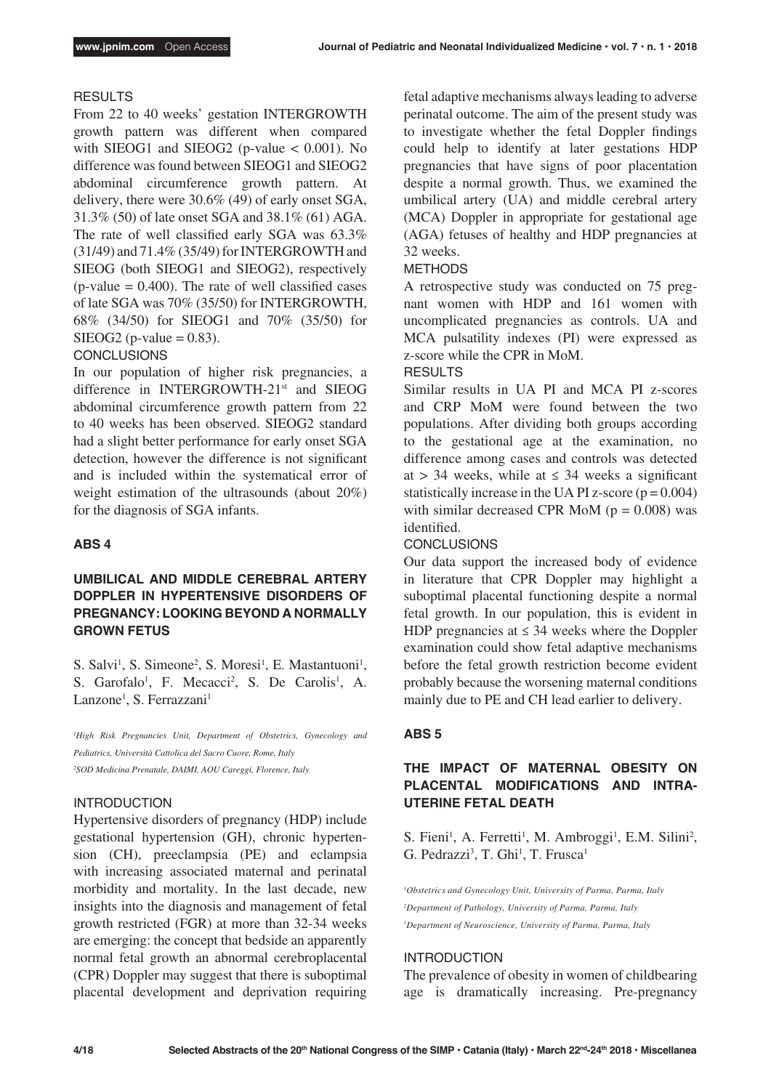#### **RESULTS**

From 22 to 40 weeks' gestation INTERGROWTH growth pattern was different when compared with SIEOG1 and SIEOG2 (p-value  $< 0.001$ ). No difference was found between SIEOG1 and SIEOG2 abdominal circumference growth pattern. At delivery, there were 30.6% (49) of early onset SGA, 31.3% (50) of late onset SGA and 38.1% (61) AGA. The rate of well classified early SGA was 63.3% (31/49) and 71.4% (35/49) for INTERGROWTH and SIEOG (both SIEOG1 and SIEOG2), respectively  $(p-value = 0.400)$ . The rate of well classified cases of late SGA was 70% (35/50) for INTERGROWTH, 68% (34/50) for SIEOG1 and 70% (35/50) for SIEOG2 (p-value  $= 0.83$ ).

# **CONCLUSIONS**

In our population of higher risk pregnancies, a difference in INTERGROWTH-21<sup>st</sup> and SIEOG abdominal circumference growth pattern from 22 to 40 weeks has been observed. SIEOG2 standard had a slight better performance for early onset SGA detection, however the difference is not significant and is included within the systematical error of weight estimation of the ultrasounds (about 20%) for the diagnosis of SGA infants.

## **ABS 4**

# **UMBILICAL AND MIDDLE CEREBRAL ARTERY DOPPLER IN HYPERTENSIVE DISORDERS OF PREGNANCY: LOOKING BEYOND A NORMALLY GROWN FETUS**

S. Salvi<sup>1</sup>, S. Simeone<sup>2</sup>, S. Moresi<sup>1</sup>, E. Mastantuoni<sup>1</sup>, S. Garofalo<sup>1</sup>, F. Mecacci<sup>2</sup>, S. De Carolis<sup>1</sup>, A. Lanzone<sup>1</sup>, S. Ferrazzani<sup>1</sup>

*1 High Risk Pregnancies Unit, Department of Obstetrics, Gynecology and Pediatrics, Università Cattolica del Sacro Cuore, Rome, Italy 2 SOD Medicina Prenatale, DAIMI, AOU Careggi, Florence, Italy*

## INTRODUCTION

Hypertensive disorders of pregnancy (HDP) include gestational hypertension (GH), chronic hypertension (CH), preeclampsia (PE) and eclampsia with increasing associated maternal and perinatal morbidity and mortality. In the last decade, new insights into the diagnosis and management of fetal growth restricted (FGR) at more than 32-34 weeks are emerging: the concept that bedside an apparently normal fetal growth an abnormal cerebroplacental (CPR) Doppler may suggest that there is suboptimal placental development and deprivation requiring fetal adaptive mechanisms always leading to adverse perinatal outcome. The aim of the present study was to investigate whether the fetal Doppler findings could help to identify at later gestations HDP pregnancies that have signs of poor placentation despite a normal growth. Thus, we examined the umbilical artery (UA) and middle cerebral artery (MCA) Doppler in appropriate for gestational age (AGA) fetuses of healthy and HDP pregnancies at 32 weeks.

# METHODS

A retrospective study was conducted on 75 pregnant women with HDP and 161 women with uncomplicated pregnancies as controls. UA and MCA pulsatility indexes (PI) were expressed as z-score while the CPR in MoM.

**RESULTS** 

Similar results in UA PI and MCA PI z-scores and CRP MoM were found between the two populations. After dividing both groups according to the gestational age at the examination, no difference among cases and controls was detected at > 34 weeks, while at  $\leq$  34 weeks a significant statistically increase in the UA PI z-score ( $p = 0.004$ ) with similar decreased CPR MoM ( $p = 0.008$ ) was identified.

## **CONCLUSIONS**

Our data support the increased body of evidence in literature that CPR Doppler may highlight a suboptimal placental functioning despite a normal fetal growth. In our population, this is evident in HDP pregnancies at  $\leq$  34 weeks where the Doppler examination could show fetal adaptive mechanisms before the fetal growth restriction become evident probably because the worsening maternal conditions mainly due to PE and CH lead earlier to delivery.

## **ABS 5**

# **THE IMPACT OF MATERNAL OBESITY ON PLACENTAL MODIFICATIONS AND INTRA-UTERINE FETAL DEATH**

S. Fieni<sup>1</sup>, A. Ferretti<sup>1</sup>, M. Ambroggi<sup>1</sup>, E.M. Silini<sup>2</sup>, G. Pedrazzi<sup>3</sup>, T. Ghi<sup>1</sup>, T. Frusca<sup>1</sup>

*1 Obstetrics and Gynecology Unit, University of Parma, Parma, Italy 2 Department of Pathology, University of Parma, Parma, Italy 3 Department of Neuroscience, University of Parma, Parma, Italy*

## INTRODUCTION

The prevalence of obesity in women of childbearing age is dramatically increasing. Pre-pregnancy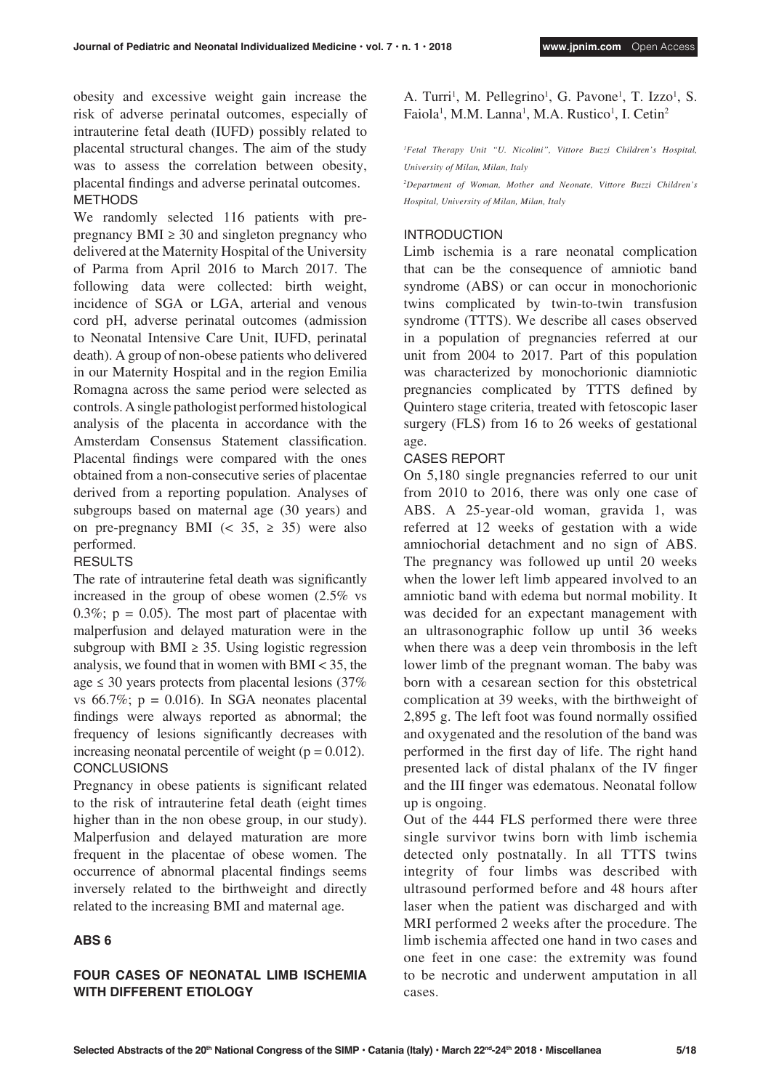obesity and excessive weight gain increase the risk of adverse perinatal outcomes, especially of intrauterine fetal death (IUFD) possibly related to placental structural changes. The aim of the study was to assess the correlation between obesity, placental findings and adverse perinatal outcomes. METHODS

We randomly selected 116 patients with prepregnancy BMI  $\geq$  30 and singleton pregnancy who delivered at the Maternity Hospital of the University of Parma from April 2016 to March 2017. The following data were collected: birth weight, incidence of SGA or LGA, arterial and venous cord pH, adverse perinatal outcomes (admission to Neonatal Intensive Care Unit, IUFD, perinatal death). A group of non-obese patients who delivered in our Maternity Hospital and in the region Emilia Romagna across the same period were selected as controls. A single pathologist performed histological analysis of the placenta in accordance with the Amsterdam Consensus Statement classification. Placental findings were compared with the ones obtained from a non-consecutive series of placentae derived from a reporting population. Analyses of subgroups based on maternal age (30 years) and on pre-pregnancy BMI ( $\lt$  35,  $\ge$  35) were also performed.

RESULTS

The rate of intrauterine fetal death was significantly increased in the group of obese women (2.5% vs 0.3%;  $p = 0.05$ ). The most part of placentae with malperfusion and delayed maturation were in the subgroup with BMI  $\geq$  35. Using logistic regression analysis, we found that in women with BMI < 35, the age  $\leq$  30 years protects from placental lesions (37%) vs  $66.7\%$ ;  $p = 0.016$ ). In SGA neonates placental findings were always reported as abnormal; the frequency of lesions significantly decreases with increasing neonatal percentile of weight ( $p = 0.012$ ). **CONCLUSIONS** 

Pregnancy in obese patients is significant related to the risk of intrauterine fetal death (eight times higher than in the non obese group, in our study). Malperfusion and delayed maturation are more frequent in the placentae of obese women. The occurrence of abnormal placental findings seems inversely related to the birthweight and directly related to the increasing BMI and maternal age.

# **ABS 6**

# **FOUR CASES OF NEONATAL LIMB ISCHEMIA WITH DIFFERENT ETIOLOGY**

A. Turri<sup>1</sup>, M. Pellegrino<sup>1</sup>, G. Pavone<sup>1</sup>, T. Izzo<sup>1</sup>, S. Faiola<sup>1</sup>, M.M. Lanna<sup>1</sup>, M.A. Rustico<sup>1</sup>, I. Cetin<sup>2</sup>

*1 Fetal Therapy Unit "U. Nicolini", Vittore Buzzi Children's Hospital, University of Milan, Milan, Italy* 

*2 Department of Woman, Mother and Neonate, Vittore Buzzi Children's Hospital, University of Milan, Milan, Italy*

# INTRODUCTION

Limb ischemia is a rare neonatal complication that can be the consequence of amniotic band syndrome (ABS) or can occur in monochorionic twins complicated by twin-to-twin transfusion syndrome (TTTS). We describe all cases observed in a population of pregnancies referred at our unit from 2004 to 2017. Part of this population was characterized by monochorionic diamniotic pregnancies complicated by TTTS defined by Quintero stage criteria, treated with fetoscopic laser surgery (FLS) from 16 to 26 weeks of gestational age.

# CASES REPORT

On 5,180 single pregnancies referred to our unit from 2010 to 2016, there was only one case of ABS. A 25-year-old woman, gravida 1, was referred at 12 weeks of gestation with a wide amniochorial detachment and no sign of ABS. The pregnancy was followed up until 20 weeks when the lower left limb appeared involved to an amniotic band with edema but normal mobility. It was decided for an expectant management with an ultrasonographic follow up until 36 weeks when there was a deep vein thrombosis in the left lower limb of the pregnant woman. The baby was born with a cesarean section for this obstetrical complication at 39 weeks, with the birthweight of 2,895 g. The left foot was found normally ossified and oxygenated and the resolution of the band was performed in the first day of life. The right hand presented lack of distal phalanx of the IV finger and the III finger was edematous. Neonatal follow up is ongoing.

Out of the 444 FLS performed there were three single survivor twins born with limb ischemia detected only postnatally. In all TTTS twins integrity of four limbs was described with ultrasound performed before and 48 hours after laser when the patient was discharged and with MRI performed 2 weeks after the procedure. The limb ischemia affected one hand in two cases and one feet in one case: the extremity was found to be necrotic and underwent amputation in all cases.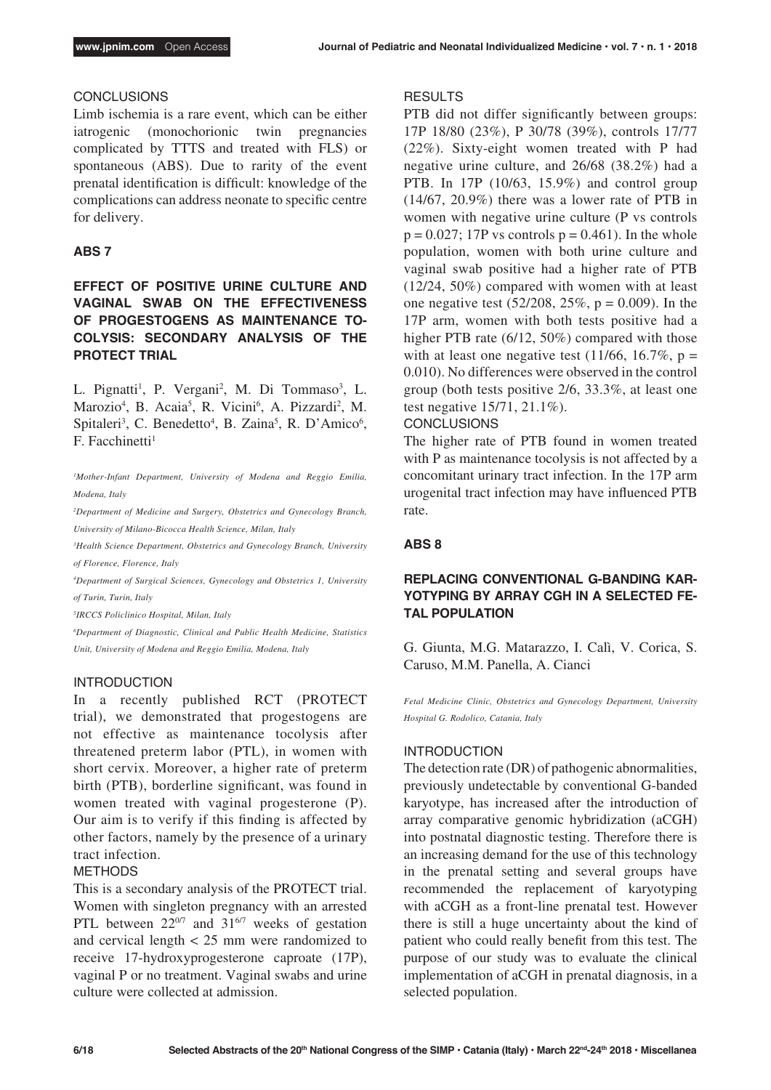Limb ischemia is a rare event, which can be either iatrogenic (monochorionic twin pregnancies complicated by TTTS and treated with FLS) or spontaneous (ABS). Due to rarity of the event prenatal identification is difficult: knowledge of the complications can address neonate to specific centre for delivery.

## **ABS 7**

**EFFECT OF POSITIVE URINE CULTURE AND VAGINAL SWAB ON THE EFFECTIVENESS OF PROGESTOGENS AS MAINTENANCE TO-COLYSIS: SECONDARY ANALYSIS OF THE PROTECT TRIAL**

L. Pignatti<sup>1</sup>, P. Vergani<sup>2</sup>, M. Di Tommaso<sup>3</sup>, L. Marozio<sup>4</sup>, B. Acaia<sup>5</sup>, R. Vicini<sup>6</sup>, A. Pizzardi<sup>2</sup>, M. Spitaleri<sup>3</sup>, C. Benedetto<sup>4</sup>, B. Zaina<sup>5</sup>, R. D'Amico<sup>6</sup>, F. Facchinetti<sup>1</sup>

*1 Mother-Infant Department, University of Modena and Reggio Emilia, Modena, Italy*

*2 Department of Medicine and Surgery, Obstetrics and Gynecology Branch, University of Milano-Bicocca Health Science, Milan, Italy*

*3 Health Science Department, Obstetrics and Gynecology Branch, University of Florence, Florence, Italy* 

*4 Department of Surgical Sciences, Gynecology and Obstetrics 1, University of Turin, Turin, Italy*

*5 IRCCS Policlinico Hospital, Milan, Italy* 

*6 Department of Diagnostic, Clinical and Public Health Medicine, Statistics Unit, University of Modena and Reggio Emilia, Modena, Italy*

#### INTRODUCTION

In a recently published RCT (PROTECT trial), we demonstrated that progestogens are not effective as maintenance tocolysis after threatened preterm labor (PTL), in women with short cervix. Moreover, a higher rate of preterm birth (PTB), borderline significant, was found in women treated with vaginal progesterone (P). Our aim is to verify if this finding is affected by other factors, namely by the presence of a urinary tract infection.

## METHODS

This is a secondary analysis of the PROTECT trial. Women with singleton pregnancy with an arrested PTL between  $22^{0/7}$  and  $31^{6/7}$  weeks of gestation and cervical length < 25 mm were randomized to receive 17-hydroxyprogesterone caproate (17P), vaginal P or no treatment. Vaginal swabs and urine culture were collected at admission.

#### RESULTS

PTB did not differ significantly between groups: 17P 18/80 (23%), P 30/78 (39%), controls 17/77 (22%). Sixty-eight women treated with P had negative urine culture, and 26/68 (38.2%) had a PTB. In 17P (10/63, 15.9%) and control group (14/67, 20.9%) there was a lower rate of PTB in women with negative urine culture (P vs controls  $p = 0.027$ ; 17P vs controls  $p = 0.461$ ). In the whole population, women with both urine culture and vaginal swab positive had a higher rate of PTB (12/24, 50%) compared with women with at least one negative test  $(52/208, 25\%, p = 0.009)$ . In the 17P arm, women with both tests positive had a higher PTB rate (6/12, 50%) compared with those with at least one negative test  $(11/66, 16.7\%$ , p = 0.010). No differences were observed in the control group (both tests positive 2/6, 33.3%, at least one test negative 15/71, 21.1%).

## **CONCLUSIONS**

The higher rate of PTB found in women treated with P as maintenance tocolysis is not affected by a concomitant urinary tract infection. In the 17P arm urogenital tract infection may have influenced PTB rate.

#### **ABS 8**

# **REPLACING CONVENTIONAL G-BANDING KAR-YOTYPING BY ARRAY CGH IN A SELECTED FE-TAL POPULATION**

G. Giunta, M.G. Matarazzo, I. Calì, V. Corica, S. Caruso, M.M. Panella, A. Cianci

*Fetal Medicine Clinic, Obstetrics and Gynecology Department, University Hospital G. Rodolico, Catania, Italy*

#### INTRODUCTION

The detection rate (DR) of pathogenic abnormalities, previously undetectable by conventional G-banded karyotype, has increased after the introduction of array comparative genomic hybridization (aCGH) into postnatal diagnostic testing. Therefore there is an increasing demand for the use of this technology in the prenatal setting and several groups have recommended the replacement of karyotyping with aCGH as a front-line prenatal test. However there is still a huge uncertainty about the kind of patient who could really benefit from this test. The purpose of our study was to evaluate the clinical implementation of aCGH in prenatal diagnosis, in a selected population.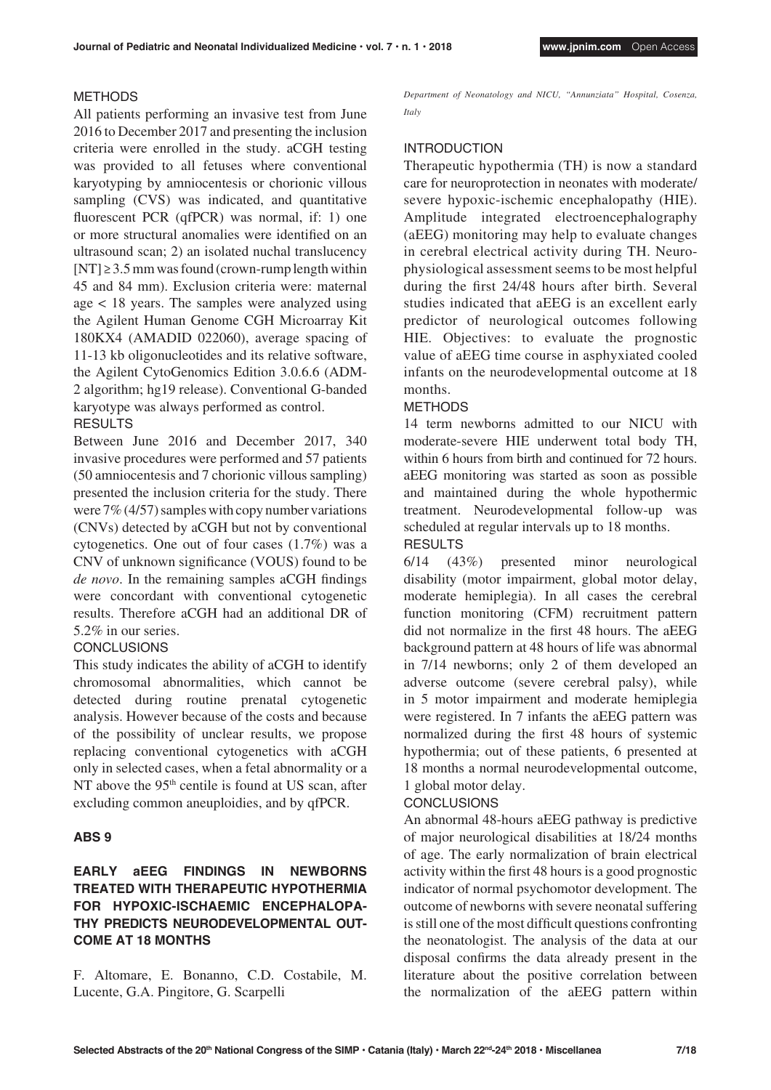#### METHODS

All patients performing an invasive test from June 2016 to December 2017 and presenting the inclusion criteria were enrolled in the study. aCGH testing was provided to all fetuses where conventional karyotyping by amniocentesis or chorionic villous sampling (CVS) was indicated, and quantitative fluorescent PCR (qfPCR) was normal, if: 1) one or more structural anomalies were identified on an ultrasound scan; 2) an isolated nuchal translucency  $[NT] \geq 3.5$  mm was found (crown-rump length within 45 and 84 mm). Exclusion criteria were: maternal age < 18 years. The samples were analyzed using the Agilent Human Genome CGH Microarray Kit 180KX4 (AMADID 022060), average spacing of 11-13 kb oligonucleotides and its relative software, the Agilent CytoGenomics Edition 3.0.6.6 (ADM-2 algorithm; hg19 release). Conventional G-banded karyotype was always performed as control. RESULTS

Between June 2016 and December 2017, 340 invasive procedures were performed and 57 patients (50 amniocentesis and 7 chorionic villous sampling) presented the inclusion criteria for the study. There were 7% (4/57) samples with copy number variations (CNVs) detected by aCGH but not by conventional cytogenetics. One out of four cases (1.7%) was a CNV of unknown significance (VOUS) found to be *de novo*. In the remaining samples aCGH findings were concordant with conventional cytogenetic results. Therefore aCGH had an additional DR of 5.2% in our series.

#### CONCLUSIONS

This study indicates the ability of aCGH to identify chromosomal abnormalities, which cannot be detected during routine prenatal cytogenetic analysis. However because of the costs and because of the possibility of unclear results, we propose replacing conventional cytogenetics with aCGH only in selected cases, when a fetal abnormality or a NT above the  $95<sup>th</sup>$  centile is found at US scan, after excluding common aneuploidies, and by qfPCR.

## **ABS 9**

# **EARLY aEEG FINDINGS IN NEWBORNS TREATED WITH THERAPEUTIC HYPOTHERMIA FOR HYPOXIC-ISCHAEMIC ENCEPHALOPA-THY PREDICTS NEURODEVELOPMENTAL OUT-COME AT 18 MONTHS**

F. Altomare, E. Bonanno, C.D. Costabile, M. Lucente, G.A. Pingitore, G. Scarpelli

*Department of Neonatology and NICU, "Annunziata" Hospital, Cosenza, Italy*

#### INTRODUCTION

Therapeutic hypothermia (TH) is now a standard care for neuroprotection in neonates with moderate/ severe hypoxic-ischemic encephalopathy (HIE). Amplitude integrated electroencephalography (aEEG) monitoring may help to evaluate changes in cerebral electrical activity during TH. Neurophysiological assessment seems to be most helpful during the first 24/48 hours after birth. Several studies indicated that aEEG is an excellent early predictor of neurological outcomes following HIE. Objectives: to evaluate the prognostic value of aEEG time course in asphyxiated cooled infants on the neurodevelopmental outcome at 18 months.

## **METHODS**

14 term newborns admitted to our NICU with moderate-severe HIE underwent total body TH, within 6 hours from birth and continued for 72 hours. aEEG monitoring was started as soon as possible and maintained during the whole hypothermic treatment. Neurodevelopmental follow-up was scheduled at regular intervals up to 18 months. **RESULTS** 

6/14 (43%) presented minor neurological disability (motor impairment, global motor delay, moderate hemiplegia). In all cases the cerebral function monitoring (CFM) recruitment pattern did not normalize in the first 48 hours. The aEEG background pattern at 48 hours of life was abnormal in 7/14 newborns; only 2 of them developed an adverse outcome (severe cerebral palsy), while in 5 motor impairment and moderate hemiplegia were registered. In 7 infants the aEEG pattern was normalized during the first 48 hours of systemic hypothermia; out of these patients, 6 presented at 18 months a normal neurodevelopmental outcome, 1 global motor delay.

## **CONCLUSIONS**

An abnormal 48-hours aEEG pathway is predictive of major neurological disabilities at 18/24 months of age. The early normalization of brain electrical activity within the first 48 hours is a good prognostic indicator of normal psychomotor development. The outcome of newborns with severe neonatal suffering is still one of the most difficult questions confronting the neonatologist. The analysis of the data at our disposal confirms the data already present in the literature about the positive correlation between the normalization of the aEEG pattern within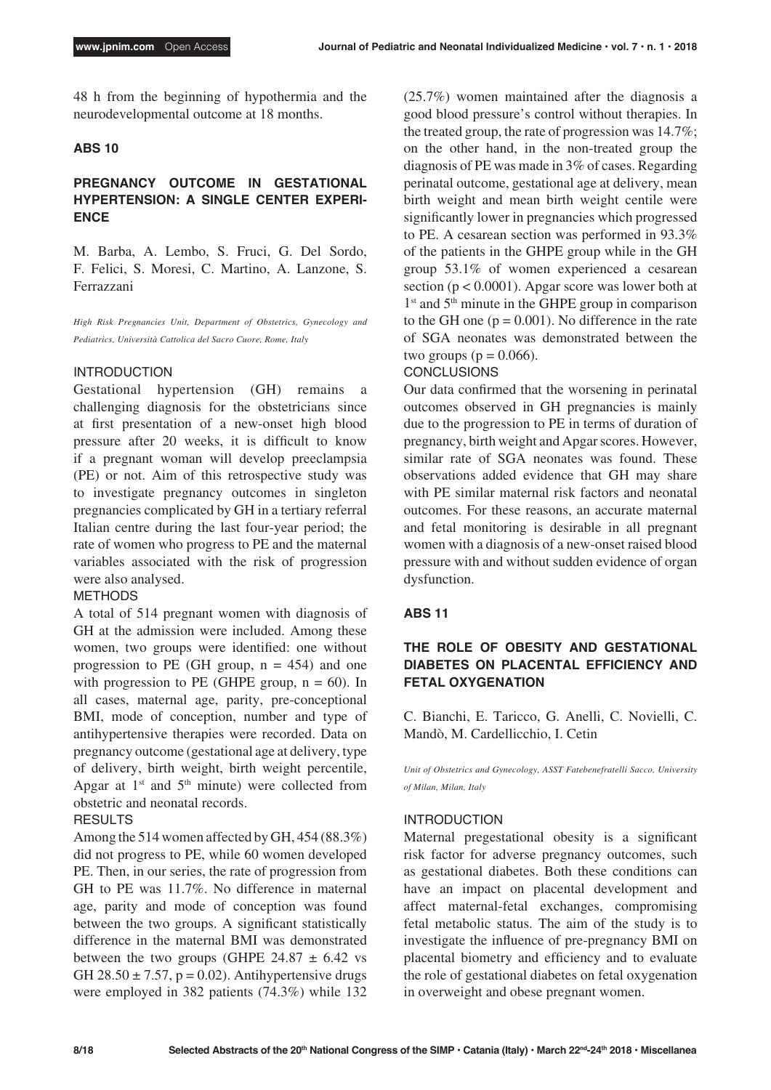48 h from the beginning of hypothermia and the neurodevelopmental outcome at 18 months.

## **ABS 10**

# **PREGNANCY OUTCOME IN GESTATIONAL HYPERTENSION: A SINGLE CENTER EXPERI-ENCE**

M. Barba, A. Lembo, S. Fruci, G. Del Sordo, F. Felici, S. Moresi, C. Martino, A. Lanzone, S. Ferrazzani

*High Risk Pregnancies Unit, Department of Obstetrics, Gynecology and Pediatrics, Università Cattolica del Sacro Cuore, Rome, Italy*

#### **INTRODUCTION**

Gestational hypertension (GH) remains a challenging diagnosis for the obstetricians since at first presentation of a new-onset high blood pressure after 20 weeks, it is difficult to know if a pregnant woman will develop preeclampsia (PE) or not. Aim of this retrospective study was to investigate pregnancy outcomes in singleton pregnancies complicated by GH in a tertiary referral Italian centre during the last four-year period; the rate of women who progress to PE and the maternal variables associated with the risk of progression were also analysed.

#### METHODS

A total of 514 pregnant women with diagnosis of GH at the admission were included. Among these women, two groups were identified: one without progression to PE (GH group,  $n = 454$ ) and one with progression to PE (GHPE group,  $n = 60$ ). In all cases, maternal age, parity, pre-conceptional BMI, mode of conception, number and type of antihypertensive therapies were recorded. Data on pregnancy outcome (gestational age at delivery, type of delivery, birth weight, birth weight percentile, Apgar at  $1<sup>st</sup>$  and  $5<sup>th</sup>$  minute) were collected from obstetric and neonatal records.

#### RESULTS

Among the 514 women affected by GH, 454 (88.3%) did not progress to PE, while 60 women developed PE. Then, in our series, the rate of progression from GH to PE was 11.7%. No difference in maternal age, parity and mode of conception was found between the two groups. A significant statistically difference in the maternal BMI was demonstrated between the two groups (GHPE  $24.87 \pm 6.42$  vs GH  $28.50 \pm 7.57$ , p = 0.02). Antihypertensive drugs were employed in 382 patients (74.3%) while 132 (25.7%) women maintained after the diagnosis a good blood pressure's control without therapies. In the treated group, the rate of progression was 14.7%; on the other hand, in the non-treated group the diagnosis of PE was made in 3% of cases. Regarding perinatal outcome, gestational age at delivery, mean birth weight and mean birth weight centile were significantly lower in pregnancies which progressed to PE. A cesarean section was performed in 93.3% of the patients in the GHPE group while in the GH group 53.1% of women experienced a cesarean section ( $p < 0.0001$ ). Apgar score was lower both at 1<sup>st</sup> and 5<sup>th</sup> minute in the GHPE group in comparison to the GH one  $(p = 0.001)$ . No difference in the rate of SGA neonates was demonstrated between the two groups ( $p = 0.066$ ).

# **CONCLUSIONS**

Our data confirmed that the worsening in perinatal outcomes observed in GH pregnancies is mainly due to the progression to PE in terms of duration of pregnancy, birth weight and Apgar scores. However, similar rate of SGA neonates was found. These observations added evidence that GH may share with PE similar maternal risk factors and neonatal outcomes. For these reasons, an accurate maternal and fetal monitoring is desirable in all pregnant women with a diagnosis of a new-onset raised blood pressure with and without sudden evidence of organ dysfunction.

#### **ABS 11**

# **THE ROLE OF OBESITY AND GESTATIONAL DIABETES ON PLACENTAL EFFICIENCY AND FETAL OXYGENATION**

C. Bianchi, E. Taricco, G. Anelli, C. Novielli, C. Mandò, M. Cardellicchio, I. Cetin

*Unit of Obstetrics and Gynecology, ASST Fatebenefratelli Sacco, University of Milan, Milan, Italy*

#### INTRODUCTION

Maternal pregestational obesity is a significant risk factor for adverse pregnancy outcomes, such as gestational diabetes. Both these conditions can have an impact on placental development and affect maternal-fetal exchanges, compromising fetal metabolic status. The aim of the study is to investigate the influence of pre-pregnancy BMI on placental biometry and efficiency and to evaluate the role of gestational diabetes on fetal oxygenation in overweight and obese pregnant women.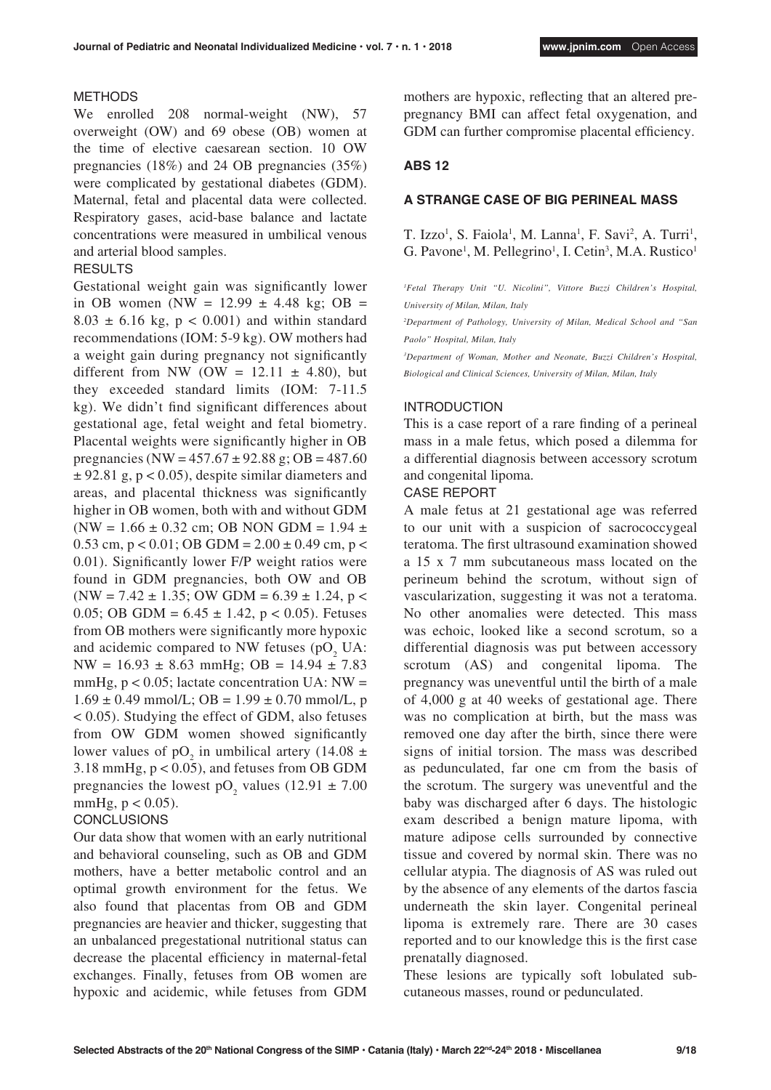#### METHODS

We enrolled 208 normal-weight (NW), 57 overweight (OW) and 69 obese (OB) women at the time of elective caesarean section. 10 OW pregnancies (18%) and 24 OB pregnancies (35%) were complicated by gestational diabetes (GDM). Maternal, fetal and placental data were collected. Respiratory gases, acid-base balance and lactate concentrations were measured in umbilical venous and arterial blood samples.

## RESULTS

Gestational weight gain was significantly lower in OB women (NW =  $12.99 \pm 4.48$  kg; OB =  $8.03 \pm 6.16$  kg,  $p < 0.001$ ) and within standard recommendations (IOM: 5-9 kg). OW mothers had a weight gain during pregnancy not significantly different from NW (OW =  $12.11 \pm 4.80$ ), but they exceeded standard limits (IOM: 7-11.5 kg). We didn't find significant differences about gestational age, fetal weight and fetal biometry. Placental weights were significantly higher in OB pregnancies (NW =  $457.67 \pm 92.88$  g; OB =  $487.60$  $\pm$  92.81 g, p < 0.05), despite similar diameters and areas, and placental thickness was significantly higher in OB women, both with and without GDM (NW =  $1.66 \pm 0.32$  cm; OB NON GDM =  $1.94 \pm$ 0.53 cm,  $p < 0.01$ ; OB GDM =  $2.00 \pm 0.49$  cm,  $p <$ 0.01). Significantly lower F/P weight ratios were found in GDM pregnancies, both OW and OB  $(NW = 7.42 \pm 1.35; \text{OW GDM} = 6.39 \pm 1.24, \text{p}$ 0.05; OB GDM =  $6.45 \pm 1.42$ , p < 0.05). Fetuses from OB mothers were significantly more hypoxic and acidemic compared to NW fetuses  $(pO_2 \text{ UA:})$ NW =  $16.93 \pm 8.63$  mmHg; OB =  $14.94 \pm 7.83$ mmHg,  $p < 0.05$ ; lactate concentration UA: NW =  $1.69 \pm 0.49$  mmol/L; OB =  $1.99 \pm 0.70$  mmol/L, p < 0.05). Studying the effect of GDM, also fetuses from OW GDM women showed significantly lower values of  $pO_2$  in umbilical artery (14.08  $\pm$ 3.18 mmHg, p < 0.05), and fetuses from OB GDM pregnancies the lowest pO<sub>2</sub> values  $(12.91 \pm 7.00)$ mmHg,  $p < 0.05$ ).

# **CONCLUSIONS**

Our data show that women with an early nutritional and behavioral counseling, such as OB and GDM mothers, have a better metabolic control and an optimal growth environment for the fetus. We also found that placentas from OB and GDM pregnancies are heavier and thicker, suggesting that an unbalanced pregestational nutritional status can decrease the placental efficiency in maternal-fetal exchanges. Finally, fetuses from OB women are hypoxic and acidemic, while fetuses from GDM mothers are hypoxic, reflecting that an altered prepregnancy BMI can affect fetal oxygenation, and GDM can further compromise placental efficiency.

## **ABS 12**

#### **A STRANGE CASE OF BIG PERINEAL MASS**

T. Izzo<sup>1</sup>, S. Faiola<sup>1</sup>, M. Lanna<sup>1</sup>, F. Savi<sup>2</sup>, A. Turri<sup>1</sup>, G. Pavone<sup>1</sup>, M. Pellegrino<sup>1</sup>, I. Cetin<sup>3</sup>, M.A. Rustico<sup>1</sup>

*1 Fetal Therapy Unit "U. Nicolini", Vittore Buzzi Children's Hospital, University of Milan, Milan, Italy* 

*2 Department of Pathology, University of Milan, Medical School and "San Paolo" Hospital, Milan, Italy*

*3 Department of Woman, Mother and Neonate, Buzzi Children's Hospital, Biological and Clinical Sciences, University of Milan, Milan, Italy*

#### INTRODUCTION

This is a case report of a rare finding of a perineal mass in a male fetus, which posed a dilemma for a differential diagnosis between accessory scrotum and congenital lipoma.

## CASE REPORT

A male fetus at 21 gestational age was referred to our unit with a suspicion of sacrococcygeal teratoma. The first ultrasound examination showed a 15 x 7 mm subcutaneous mass located on the perineum behind the scrotum, without sign of vascularization, suggesting it was not a teratoma. No other anomalies were detected. This mass was echoic, looked like a second scrotum, so a differential diagnosis was put between accessory scrotum (AS) and congenital lipoma. The pregnancy was uneventful until the birth of a male of 4,000 g at 40 weeks of gestational age. There was no complication at birth, but the mass was removed one day after the birth, since there were signs of initial torsion. The mass was described as pedunculated, far one cm from the basis of the scrotum. The surgery was uneventful and the baby was discharged after 6 days. The histologic exam described a benign mature lipoma, with mature adipose cells surrounded by connective tissue and covered by normal skin. There was no cellular atypia. The diagnosis of AS was ruled out by the absence of any elements of the dartos fascia underneath the skin layer. Congenital perineal lipoma is extremely rare. There are 30 cases reported and to our knowledge this is the first case prenatally diagnosed.

These lesions are typically soft lobulated subcutaneous masses, round or pedunculated.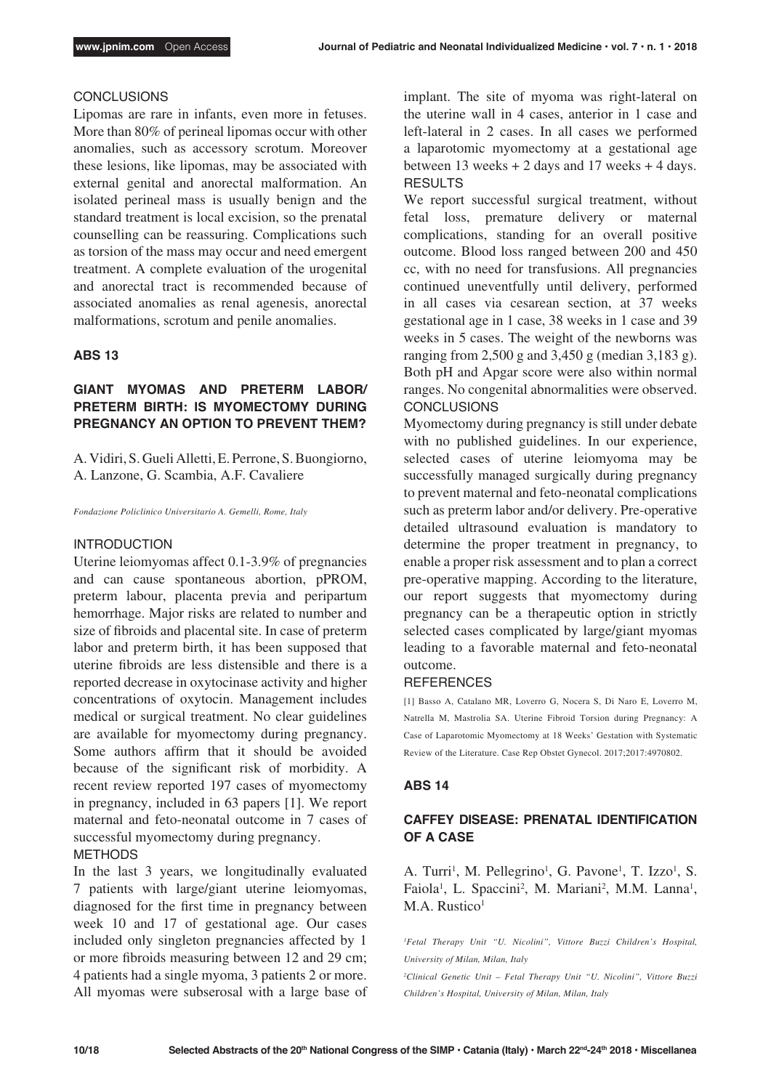Lipomas are rare in infants, even more in fetuses. More than 80% of perineal lipomas occur with other anomalies, such as accessory scrotum. Moreover these lesions, like lipomas, may be associated with external genital and anorectal malformation. An isolated perineal mass is usually benign and the standard treatment is local excision, so the prenatal counselling can be reassuring. Complications such as torsion of the mass may occur and need emergent treatment. A complete evaluation of the urogenital and anorectal tract is recommended because of associated anomalies as renal agenesis, anorectal malformations, scrotum and penile anomalies.

#### **ABS 13**

# **GIANT MYOMAS AND PRETERM LABOR/ PRETERM BIRTH: IS MYOMECTOMY DURING PREGNANCY AN OPTION TO PREVENT THEM?**

A. Vidiri, S. Gueli Alletti, E. Perrone, S. Buongiorno, A. Lanzone, G. Scambia, A.F. Cavaliere

*Fondazione Policlinico Universitario A. Gemelli, Rome, Italy*

#### INTRODUCTION

Uterine leiomyomas affect 0.1-3.9% of pregnancies and can cause spontaneous abortion, pPROM, preterm labour, placenta previa and peripartum hemorrhage. Major risks are related to number and size of fibroids and placental site. In case of preterm labor and preterm birth, it has been supposed that uterine fibroids are less distensible and there is a reported decrease in oxytocinase activity and higher concentrations of oxytocin. Management includes medical or surgical treatment. No clear guidelines are available for myomectomy during pregnancy. Some authors affirm that it should be avoided because of the significant risk of morbidity. A recent review reported 197 cases of myomectomy in pregnancy, included in 63 papers [1]. We report maternal and feto-neonatal outcome in 7 cases of successful myomectomy during pregnancy. METHODS

In the last 3 years, we longitudinally evaluated 7 patients with large/giant uterine leiomyomas, diagnosed for the first time in pregnancy between week 10 and 17 of gestational age. Our cases included only singleton pregnancies affected by 1 or more fibroids measuring between 12 and 29 cm; 4 patients had a single myoma, 3 patients 2 or more. All myomas were subserosal with a large base of implant. The site of myoma was right-lateral on the uterine wall in 4 cases, anterior in 1 case and left-lateral in 2 cases. In all cases we performed a laparotomic myomectomy at a gestational age between  $13$  weeks  $+ 2$  days and  $17$  weeks  $+ 4$  days. **RESULTS** 

We report successful surgical treatment, without fetal loss, premature delivery or maternal complications, standing for an overall positive outcome. Blood loss ranged between 200 and 450 cc, with no need for transfusions. All pregnancies continued uneventfully until delivery, performed in all cases via cesarean section, at 37 weeks gestational age in 1 case, 38 weeks in 1 case and 39 weeks in 5 cases. The weight of the newborns was ranging from 2,500 g and 3,450 g (median 3,183 g). Both pH and Apgar score were also within normal ranges. No congenital abnormalities were observed. **CONCLUSIONS** 

Myomectomy during pregnancy is still under debate with no published guidelines. In our experience, selected cases of uterine leiomyoma may be successfully managed surgically during pregnancy to prevent maternal and feto-neonatal complications such as preterm labor and/or delivery. Pre-operative detailed ultrasound evaluation is mandatory to determine the proper treatment in pregnancy, to enable a proper risk assessment and to plan a correct pre-operative mapping. According to the literature, our report suggests that myomectomy during pregnancy can be a therapeutic option in strictly selected cases complicated by large/giant myomas leading to a favorable maternal and feto-neonatal outcome.

#### **REFERENCES**

[1] Basso A, Catalano MR, Loverro G, Nocera S, Di Naro E, Loverro M, Natrella M, Mastrolia SA. Uterine Fibroid Torsion during Pregnancy: A Case of Laparotomic Myomectomy at 18 Weeks' Gestation with Systematic Review of the Literature. Case Rep Obstet Gynecol. 2017;2017:4970802.

#### **ABS 14**

# **CAFFEY DISEASE: PRENATAL IDENTIFICATION OF A CASE**

A. Turri<sup>1</sup>, M. Pellegrino<sup>1</sup>, G. Pavone<sup>1</sup>, T. Izzo<sup>1</sup>, S. Faiola<sup>1</sup>, L. Spaccini<sup>2</sup>, M. Mariani<sup>2</sup>, M.M. Lanna<sup>1</sup>,  $M.A.$  Rustico<sup>1</sup>

*1 Fetal Therapy Unit "U. Nicolini", Vittore Buzzi Children's Hospital, University of Milan, Milan, Italy* 

*2 Clinical Genetic Unit – Fetal Therapy Unit "U. Nicolini", Vittore Buzzi Children's Hospital, University of Milan, Milan, Italy*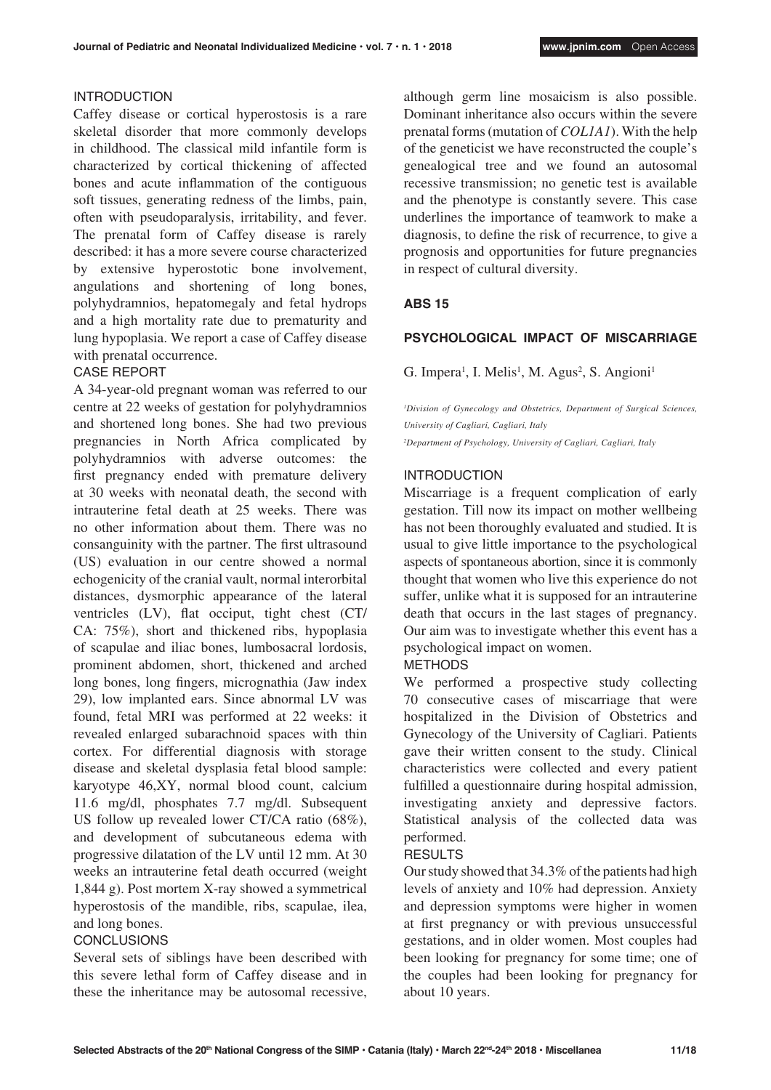## INTRODUCTION

Caffey disease or cortical hyperostosis is a rare skeletal disorder that more commonly develops in childhood. The classical mild infantile form is characterized by cortical thickening of affected bones and acute inflammation of the contiguous soft tissues, generating redness of the limbs, pain, often with pseudoparalysis, irritability, and fever. The prenatal form of Caffey disease is rarely described: it has a more severe course characterized by extensive hyperostotic bone involvement, angulations and shortening of long bones, polyhydramnios, hepatomegaly and fetal hydrops and a high mortality rate due to prematurity and lung hypoplasia. We report a case of Caffey disease with prenatal occurrence.

## CASE REPORT

A 34-year-old pregnant woman was referred to our centre at 22 weeks of gestation for polyhydramnios and shortened long bones. She had two previous pregnancies in North Africa complicated by polyhydramnios with adverse outcomes: the first pregnancy ended with premature delivery at 30 weeks with neonatal death, the second with intrauterine fetal death at 25 weeks. There was no other information about them. There was no consanguinity with the partner. The first ultrasound (US) evaluation in our centre showed a normal echogenicity of the cranial vault, normal interorbital distances, dysmorphic appearance of the lateral ventricles (LV), flat occiput, tight chest (CT/ CA: 75%), short and thickened ribs, hypoplasia of scapulae and iliac bones, lumbosacral lordosis, prominent abdomen, short, thickened and arched long bones, long fingers, micrognathia (Jaw index 29), low implanted ears. Since abnormal LV was found, fetal MRI was performed at 22 weeks: it revealed enlarged subarachnoid spaces with thin cortex. For differential diagnosis with storage disease and skeletal dysplasia fetal blood sample: karyotype 46,XY, normal blood count, calcium 11.6 mg/dl, phosphates 7.7 mg/dl. Subsequent US follow up revealed lower CT/CA ratio (68%), and development of subcutaneous edema with progressive dilatation of the LV until 12 mm. At 30 weeks an intrauterine fetal death occurred (weight 1,844 g). Post mortem X-ray showed a symmetrical hyperostosis of the mandible, ribs, scapulae, ilea, and long bones.

# **CONCLUSIONS**

Several sets of siblings have been described with this severe lethal form of Caffey disease and in these the inheritance may be autosomal recessive, although germ line mosaicism is also possible. Dominant inheritance also occurs within the severe prenatal forms (mutation of *COL1A1*). With the help of the geneticist we have reconstructed the couple's genealogical tree and we found an autosomal recessive transmission; no genetic test is available and the phenotype is constantly severe. This case underlines the importance of teamwork to make a diagnosis, to define the risk of recurrence, to give a prognosis and opportunities for future pregnancies in respect of cultural diversity.

## **ABS 15**

## **PSYCHOLOGICAL IMPACT OF MISCARRIAGE**

G. Impera<sup>1</sup>, I. Melis<sup>1</sup>, M. Agus<sup>2</sup>, S. Angioni<sup>1</sup>

*1 Division of Gynecology and Obstetrics, Department of Surgical Sciences, University of Cagliari, Cagliari, Italy 2 Department of Psychology, University of Cagliari, Cagliari, Italy*

## INTRODUCTION

Miscarriage is a frequent complication of early gestation. Till now its impact on mother wellbeing has not been thoroughly evaluated and studied. It is usual to give little importance to the psychological aspects of spontaneous abortion, since it is commonly thought that women who live this experience do not suffer, unlike what it is supposed for an intrauterine death that occurs in the last stages of pregnancy. Our aim was to investigate whether this event has a psychological impact on women.

# METHODS

We performed a prospective study collecting 70 consecutive cases of miscarriage that were hospitalized in the Division of Obstetrics and Gynecology of the University of Cagliari. Patients gave their written consent to the study. Clinical characteristics were collected and every patient fulfilled a questionnaire during hospital admission, investigating anxiety and depressive factors. Statistical analysis of the collected data was performed.

## RESULTS

Our study showed that 34.3% of the patients had high levels of anxiety and 10% had depression. Anxiety and depression symptoms were higher in women at first pregnancy or with previous unsuccessful gestations, and in older women. Most couples had been looking for pregnancy for some time; one of the couples had been looking for pregnancy for about 10 years.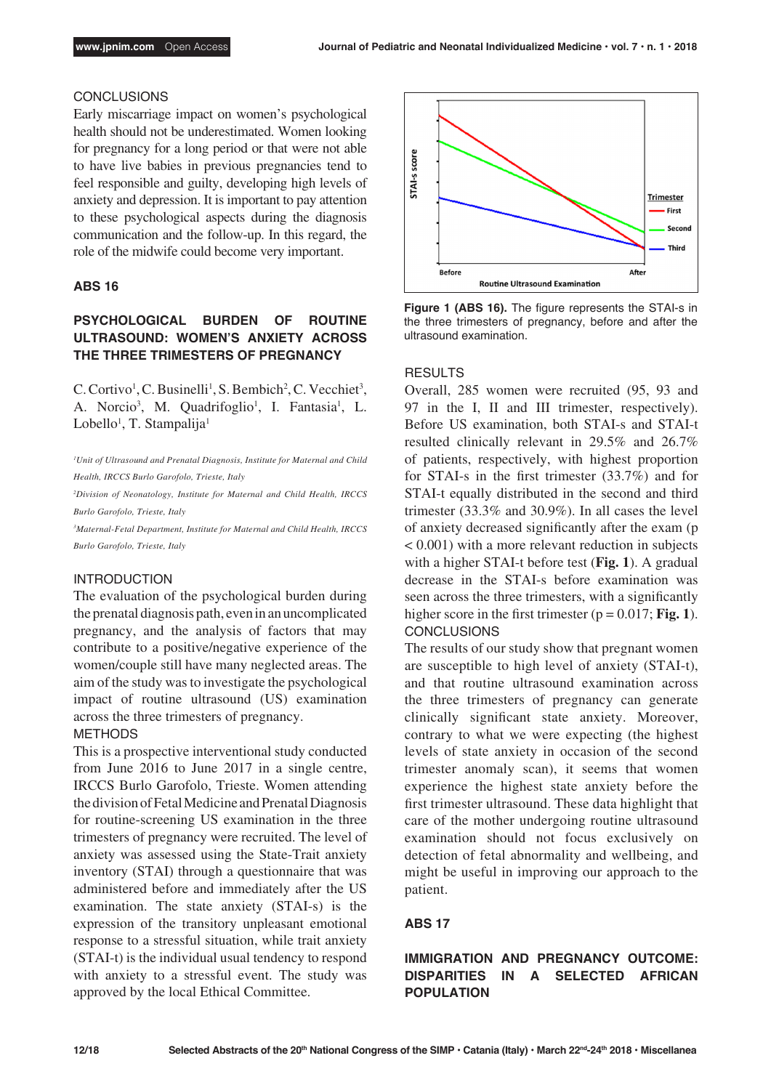Early miscarriage impact on women's psychological health should not be underestimated. Women looking for pregnancy for a long period or that were not able to have live babies in previous pregnancies tend to feel responsible and guilty, developing high levels of anxiety and depression. It is important to pay attention to these psychological aspects during the diagnosis communication and the follow-up. In this regard, the role of the midwife could become very important.

#### **ABS 16**

# **PSYCHOLOGICAL BURDEN OF ROUTINE ULTRASOUND: WOMEN'S ANXIETY ACROSS THE THREE TRIMESTERS OF PREGNANCY**

 $C$ . Cortivo<sup>1</sup>, C. Businelli<sup>1</sup>, S. Bembich<sup>2</sup>, C. Vecchiet<sup>3</sup>, A. Norcio<sup>3</sup>, M. Quadrifoglio<sup>1</sup>, I. Fantasia<sup>1</sup>, L. Lobello<sup>1</sup>, T. Stampalija<sup>1</sup>

*1 Unit of Ultrasound and Prenatal Diagnosis, Institute for Maternal and Child Health, IRCCS Burlo Garofolo, Trieste, Italy*

*2 Division of Neonatology, Institute for Maternal and Child Health, IRCCS Burlo Garofolo, Trieste, Italy*

*3 Maternal-Fetal Department, Institute for Maternal and Child Health, IRCCS Burlo Garofolo, Trieste, Italy*

## INTRODUCTION

The evaluation of the psychological burden during the prenatal diagnosis path, even in an uncomplicated pregnancy, and the analysis of factors that may contribute to a positive/negative experience of the women/couple still have many neglected areas. The aim of the study was to investigate the psychological impact of routine ultrasound (US) examination across the three trimesters of pregnancy.

## METHODS

This is a prospective interventional study conducted from June 2016 to June 2017 in a single centre, IRCCS Burlo Garofolo, Trieste. Women attending the division of Fetal Medicine and Prenatal Diagnosis for routine-screening US examination in the three trimesters of pregnancy were recruited. The level of anxiety was assessed using the State-Trait anxiety inventory (STAI) through a questionnaire that was administered before and immediately after the US examination. The state anxiety (STAI-s) is the expression of the transitory unpleasant emotional response to a stressful situation, while trait anxiety (STAI-t) is the individual usual tendency to respond with anxiety to a stressful event. The study was approved by the local Ethical Committee.



**Figure 1 (ABS 16).** The figure represents the STAI-s in the three trimesters of pregnancy, before and after the ultrasound examination.

#### RESULTS

Overall, 285 women were recruited (95, 93 and 97 in the I, II and III trimester, respectively). Before US examination, both STAI-s and STAI-t resulted clinically relevant in 29.5% and 26.7% of patients, respectively, with highest proportion for STAI-s in the first trimester (33.7%) and for STAI-t equally distributed in the second and third trimester (33.3% and 30.9%). In all cases the level of anxiety decreased significantly after the exam (p < 0.001) with a more relevant reduction in subjects with a higher STAI-t before test (**Fig. 1**). A gradual decrease in the STAI-s before examination was seen across the three trimesters, with a significantly higher score in the first trimester  $(p = 0.017; Fig. 1)$ . **CONCLUSIONS** 

The results of our study show that pregnant women are susceptible to high level of anxiety (STAI-t), and that routine ultrasound examination across the three trimesters of pregnancy can generate clinically significant state anxiety. Moreover, contrary to what we were expecting (the highest levels of state anxiety in occasion of the second trimester anomaly scan), it seems that women experience the highest state anxiety before the first trimester ultrasound. These data highlight that care of the mother undergoing routine ultrasound examination should not focus exclusively on detection of fetal abnormality and wellbeing, and might be useful in improving our approach to the patient.

## **ABS 17**

# **IMMIGRATION AND PREGNANCY OUTCOME: DISPARITIES IN A SELECTED AFRICAN POPULATION**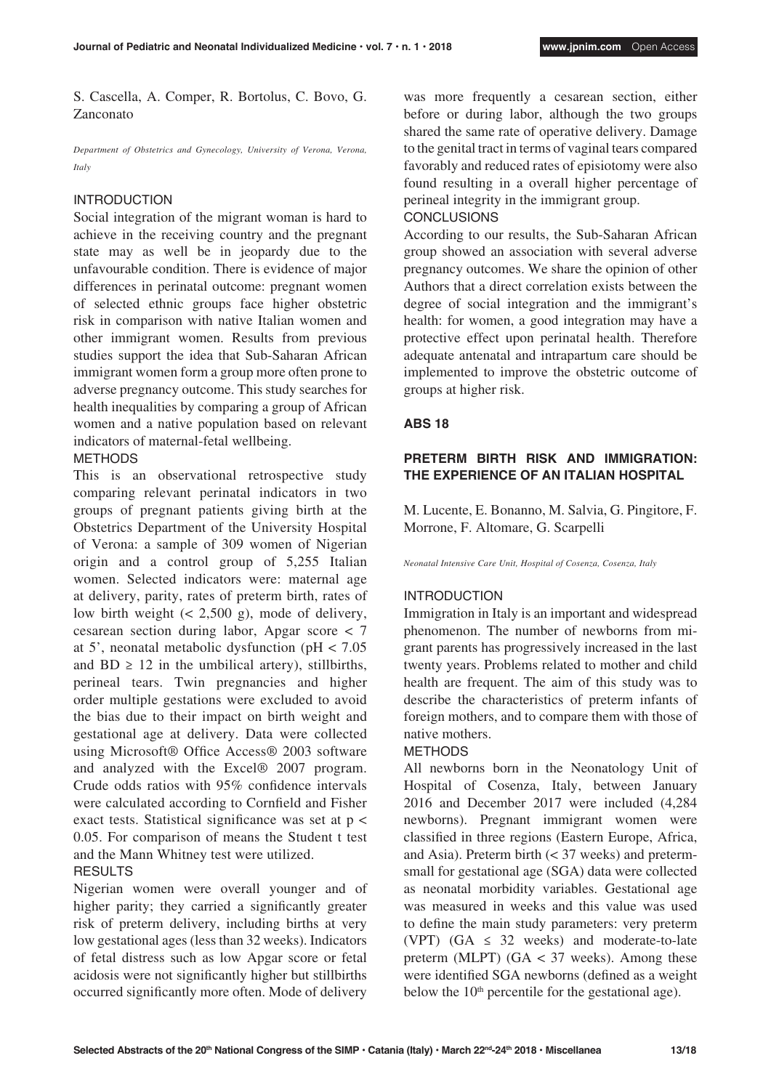S. Cascella, A. Comper, R. Bortolus, C. Bovo, G. Zanconato

*Department of Obstetrics and Gynecology, University of Verona, Verona, Italy*

## INTRODUCTION

Social integration of the migrant woman is hard to achieve in the receiving country and the pregnant state may as well be in jeopardy due to the unfavourable condition. There is evidence of major differences in perinatal outcome: pregnant women of selected ethnic groups face higher obstetric risk in comparison with native Italian women and other immigrant women. Results from previous studies support the idea that Sub-Saharan African immigrant women form a group more often prone to adverse pregnancy outcome. This study searches for health inequalities by comparing a group of African women and a native population based on relevant indicators of maternal-fetal wellbeing.

#### METHODS

This is an observational retrospective study comparing relevant perinatal indicators in two groups of pregnant patients giving birth at the Obstetrics Department of the University Hospital of Verona: a sample of 309 women of Nigerian origin and a control group of 5,255 Italian women. Selected indicators were: maternal age at delivery, parity, rates of preterm birth, rates of low birth weight (< 2,500 g), mode of delivery, cesarean section during labor, Apgar score < 7 at 5', neonatal metabolic dysfunction (pH < 7.05 and  $BD \geq 12$  in the umbilical artery), stillbirths, perineal tears. Twin pregnancies and higher order multiple gestations were excluded to avoid the bias due to their impact on birth weight and gestational age at delivery. Data were collected using Microsoft® Office Access® 2003 software and analyzed with the Excel® 2007 program. Crude odds ratios with 95% confidence intervals were calculated according to Cornfield and Fisher exact tests. Statistical significance was set at  $p <$ 0.05. For comparison of means the Student t test and the Mann Whitney test were utilized. RESULTS

Nigerian women were overall younger and of higher parity; they carried a significantly greater risk of preterm delivery, including births at very low gestational ages (less than 32 weeks). Indicators of fetal distress such as low Apgar score or fetal acidosis were not significantly higher but stillbirths occurred significantly more often. Mode of delivery was more frequently a cesarean section, either before or during labor, although the two groups shared the same rate of operative delivery. Damage to the genital tract in terms of vaginal tears compared favorably and reduced rates of episiotomy were also found resulting in a overall higher percentage of perineal integrity in the immigrant group.

# **CONCLUSIONS**

According to our results, the Sub-Saharan African group showed an association with several adverse pregnancy outcomes. We share the opinion of other Authors that a direct correlation exists between the degree of social integration and the immigrant's health: for women, a good integration may have a protective effect upon perinatal health. Therefore adequate antenatal and intrapartum care should be implemented to improve the obstetric outcome of groups at higher risk.

#### **ABS 18**

# **PRETERM BIRTH RISK AND IMMIGRATION: THE EXPERIENCE OF AN ITALIAN HOSPITAL**

M. Lucente, E. Bonanno, M. Salvia, G. Pingitore, F. Morrone, F. Altomare, G. Scarpelli

*Neonatal Intensive Care Unit, Hospital of Cosenza, Cosenza, Italy*

#### INTRODUCTION

Immigration in Italy is an important and widespread phenomenon. The number of newborns from migrant parents has progressively increased in the last twenty years. Problems related to mother and child health are frequent. The aim of this study was to describe the characteristics of preterm infants of foreign mothers, and to compare them with those of native mothers.

## METHODS

All newborns born in the Neonatology Unit of Hospital of Cosenza, Italy, between January 2016 and December 2017 were included (4,284 newborns). Pregnant immigrant women were classified in three regions (Eastern Europe, Africa, and Asia). Preterm birth (< 37 weeks) and pretermsmall for gestational age (SGA) data were collected as neonatal morbidity variables. Gestational age was measured in weeks and this value was used to define the main study parameters: very preterm (VPT) (GA  $\leq$  32 weeks) and moderate-to-late preterm (MLPT)  $(GA < 37$  weeks). Among these were identified SGA newborns (defined as a weight below the  $10<sup>th</sup>$  percentile for the gestational age).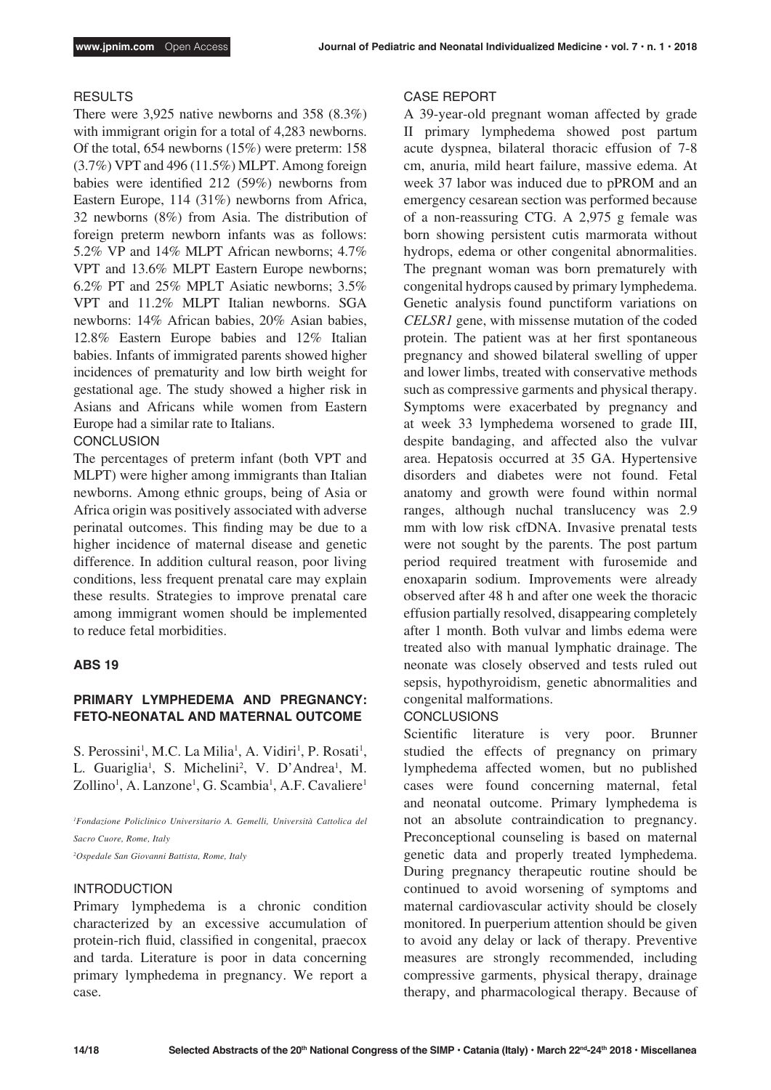#### **RESULTS**

There were 3,925 native newborns and 358 (8.3%) with immigrant origin for a total of 4,283 newborns. Of the total, 654 newborns (15%) were preterm: 158 (3.7%) VPT and 496 (11.5%) MLPT. Among foreign babies were identified 212 (59%) newborns from Eastern Europe, 114 (31%) newborns from Africa, 32 newborns (8%) from Asia. The distribution of foreign preterm newborn infants was as follows: 5.2% VP and 14% MLPT African newborns; 4.7% VPT and 13.6% MLPT Eastern Europe newborns; 6.2% PT and 25% MPLT Asiatic newborns; 3.5% VPT and 11.2% MLPT Italian newborns. SGA newborns: 14% African babies, 20% Asian babies, 12.8% Eastern Europe babies and 12% Italian babies. Infants of immigrated parents showed higher incidences of prematurity and low birth weight for gestational age. The study showed a higher risk in Asians and Africans while women from Eastern Europe had a similar rate to Italians.

## **CONCLUSION**

The percentages of preterm infant (both VPT and MLPT) were higher among immigrants than Italian newborns. Among ethnic groups, being of Asia or Africa origin was positively associated with adverse perinatal outcomes. This finding may be due to a higher incidence of maternal disease and genetic difference. In addition cultural reason, poor living conditions, less frequent prenatal care may explain these results. Strategies to improve prenatal care among immigrant women should be implemented to reduce fetal morbidities.

## **ABS 19**

# **PRIMARY LYMPHEDEMA AND PREGNANCY: FETO-NEONATAL AND MATERNAL OUTCOME**

S. Perossini<sup>1</sup>, M.C. La Milia<sup>1</sup>, A. Vidiri<sup>1</sup>, P. Rosati<sup>1</sup>, L. Guariglia<sup>1</sup>, S. Michelini<sup>2</sup>, V. D'Andrea<sup>1</sup>, M. Zollino<sup>1</sup>, A. Lanzone<sup>1</sup>, G. Scambia<sup>1</sup>, A.F. Cavaliere<sup>1</sup>

*1 Fondazione Policlinico Universitario A. Gemelli, Università Cattolica del Sacro Cuore, Rome, Italy*

*2 Ospedale San Giovanni Battista, Rome, Italy*

## INTRODUCTION

Primary lymphedema is a chronic condition characterized by an excessive accumulation of protein-rich fluid, classified in congenital, praecox and tarda. Literature is poor in data concerning primary lymphedema in pregnancy. We report a case.

#### CASE REPORT

A 39-year-old pregnant woman affected by grade II primary lymphedema showed post partum acute dyspnea, bilateral thoracic effusion of 7-8 cm, anuria, mild heart failure, massive edema. At week 37 labor was induced due to pPROM and an emergency cesarean section was performed because of a non-reassuring CTG. A 2,975 g female was born showing persistent cutis marmorata without hydrops, edema or other congenital abnormalities. The pregnant woman was born prematurely with congenital hydrops caused by primary lymphedema. Genetic analysis found punctiform variations on *CELSR1* gene, with missense mutation of the coded protein. The patient was at her first spontaneous pregnancy and showed bilateral swelling of upper and lower limbs, treated with conservative methods such as compressive garments and physical therapy. Symptoms were exacerbated by pregnancy and at week 33 lymphedema worsened to grade III, despite bandaging, and affected also the vulvar area. Hepatosis occurred at 35 GA. Hypertensive disorders and diabetes were not found. Fetal anatomy and growth were found within normal ranges, although nuchal translucency was 2.9 mm with low risk cfDNA. Invasive prenatal tests were not sought by the parents. The post partum period required treatment with furosemide and enoxaparin sodium. Improvements were already observed after 48 h and after one week the thoracic effusion partially resolved, disappearing completely after 1 month. Both vulvar and limbs edema were treated also with manual lymphatic drainage. The neonate was closely observed and tests ruled out sepsis, hypothyroidism, genetic abnormalities and congenital malformations.

## **CONCLUSIONS**

Scientific literature is very poor. Brunner studied the effects of pregnancy on primary lymphedema affected women, but no published cases were found concerning maternal, fetal and neonatal outcome. Primary lymphedema is not an absolute contraindication to pregnancy. Preconceptional counseling is based on maternal genetic data and properly treated lymphedema. During pregnancy therapeutic routine should be continued to avoid worsening of symptoms and maternal cardiovascular activity should be closely monitored. In puerperium attention should be given to avoid any delay or lack of therapy. Preventive measures are strongly recommended, including compressive garments, physical therapy, drainage therapy, and pharmacological therapy. Because of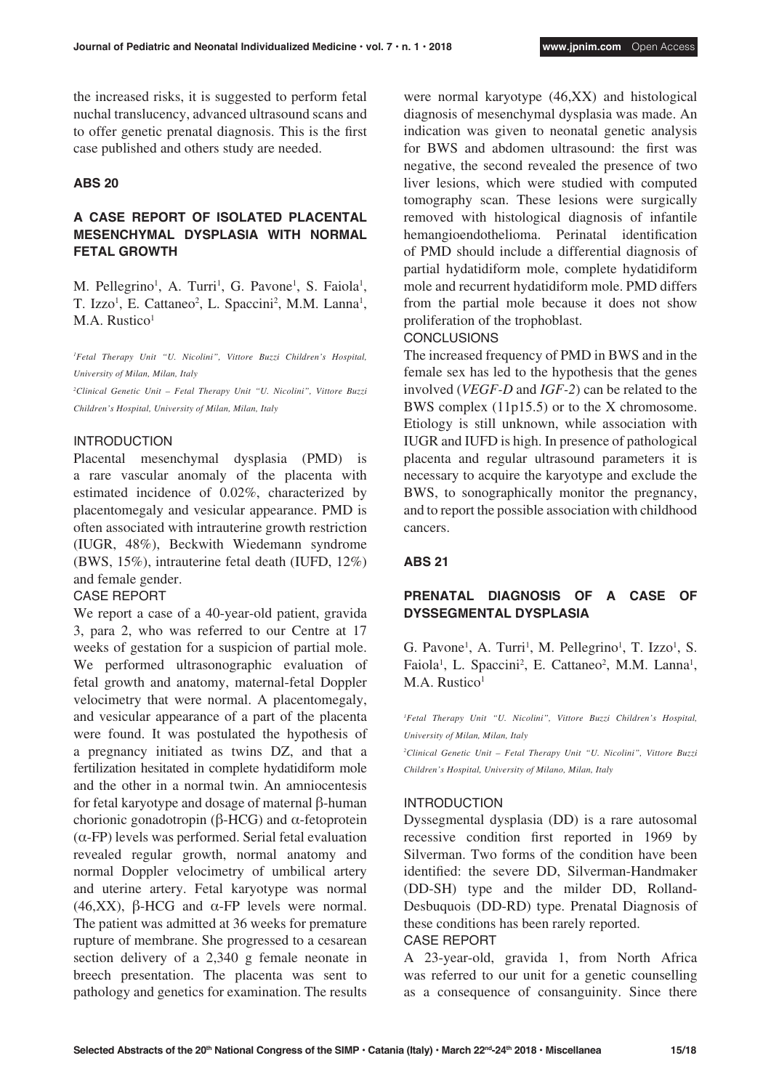the increased risks, it is suggested to perform fetal nuchal translucency, advanced ultrasound scans and to offer genetic prenatal diagnosis. This is the first case published and others study are needed.

#### **ABS 20**

# **A CASE REPORT OF ISOLATED PLACENTAL MESENCHYMAL DYSPLASIA WITH NORMAL FETAL GROWTH**

M. Pellegrino<sup>1</sup>, A. Turri<sup>1</sup>, G. Pavone<sup>1</sup>, S. Faiola<sup>1</sup>, T. Izzo<sup>1</sup>, E. Cattaneo<sup>2</sup>, L. Spaccini<sup>2</sup>, M.M. Lanna<sup>1</sup>, M.A. Rustico<sup>1</sup>

*1 Fetal Therapy Unit "U. Nicolini", Vittore Buzzi Children's Hospital, University of Milan, Milan, Italy*

*2 Clinical Genetic Unit – Fetal Therapy Unit "U. Nicolini", Vittore Buzzi Children's Hospital, University of Milan, Milan, Italy*

## INTRODUCTION

Placental mesenchymal dysplasia (PMD) is a rare vascular anomaly of the placenta with estimated incidence of 0.02%, characterized by placentomegaly and vesicular appearance. PMD is often associated with intrauterine growth restriction (IUGR, 48%), Beckwith Wiedemann syndrome (BWS, 15%), intrauterine fetal death (IUFD, 12%) and female gender.

#### CASE REPORT

We report a case of a 40-year-old patient, gravida 3, para 2, who was referred to our Centre at 17 weeks of gestation for a suspicion of partial mole. We performed ultrasonographic evaluation of fetal growth and anatomy, maternal-fetal Doppler velocimetry that were normal. A placentomegaly, and vesicular appearance of a part of the placenta were found. It was postulated the hypothesis of a pregnancy initiated as twins DZ, and that a fertilization hesitated in complete hydatidiform mole and the other in a normal twin. An amniocentesis for fetal karyotype and dosage of maternal β-human chorionic gonadotropin (β-HCG) and α-fetoprotein (α-FP) levels was performed. Serial fetal evaluation revealed regular growth, normal anatomy and normal Doppler velocimetry of umbilical artery and uterine artery. Fetal karyotype was normal (46,XX), β-HCG and α-FP levels were normal. The patient was admitted at 36 weeks for premature rupture of membrane. She progressed to a cesarean section delivery of a 2,340 g female neonate in breech presentation. The placenta was sent to pathology and genetics for examination. The results were normal karyotype (46,XX) and histological diagnosis of mesenchymal dysplasia was made. An indication was given to neonatal genetic analysis for BWS and abdomen ultrasound: the first was negative, the second revealed the presence of two liver lesions, which were studied with computed tomography scan. These lesions were surgically removed with histological diagnosis of infantile hemangioendothelioma. Perinatal identification of PMD should include a differential diagnosis of partial hydatidiform mole, complete hydatidiform mole and recurrent hydatidiform mole. PMD differs from the partial mole because it does not show proliferation of the trophoblast.

#### **CONCLUSIONS**

The increased frequency of PMD in BWS and in the female sex has led to the hypothesis that the genes involved (*VEGF-D* and *IGF-2*) can be related to the BWS complex (11p15.5) or to the X chromosome. Etiology is still unknown, while association with IUGR and IUFD is high. In presence of pathological placenta and regular ultrasound parameters it is necessary to acquire the karyotype and exclude the BWS, to sonographically monitor the pregnancy, and to report the possible association with childhood cancers.

#### **ABS 21**

# **PRENATAL DIAGNOSIS OF A CASE OF DYSSEGMENTAL DYSPLASIA**

G. Pavone<sup>1</sup>, A. Turri<sup>1</sup>, M. Pellegrino<sup>1</sup>, T. Izzo<sup>1</sup>, S. Faiola<sup>1</sup>, L. Spaccini<sup>2</sup>, E. Cattaneo<sup>2</sup>, M.M. Lanna<sup>1</sup>, M.A. Rustico<sup>1</sup>

*1 Fetal Therapy Unit "U. Nicolini", Vittore Buzzi Children's Hospital, University of Milan, Milan, Italy*

*2 Clinical Genetic Unit – Fetal Therapy Unit "U. Nicolini", Vittore Buzzi Children's Hospital, University of Milano, Milan, Italy*

#### INTRODUCTION

Dyssegmental dysplasia (DD) is a rare autosomal recessive condition first reported in 1969 by Silverman. Two forms of the condition have been identified: the severe DD, Silverman-Handmaker (DD-SH) type and the milder DD, Rolland-Desbuquois (DD-RD) type. Prenatal Diagnosis of these conditions has been rarely reported.

#### CASE REPORT

A 23-year-old, gravida 1, from North Africa was referred to our unit for a genetic counselling as a consequence of consanguinity. Since there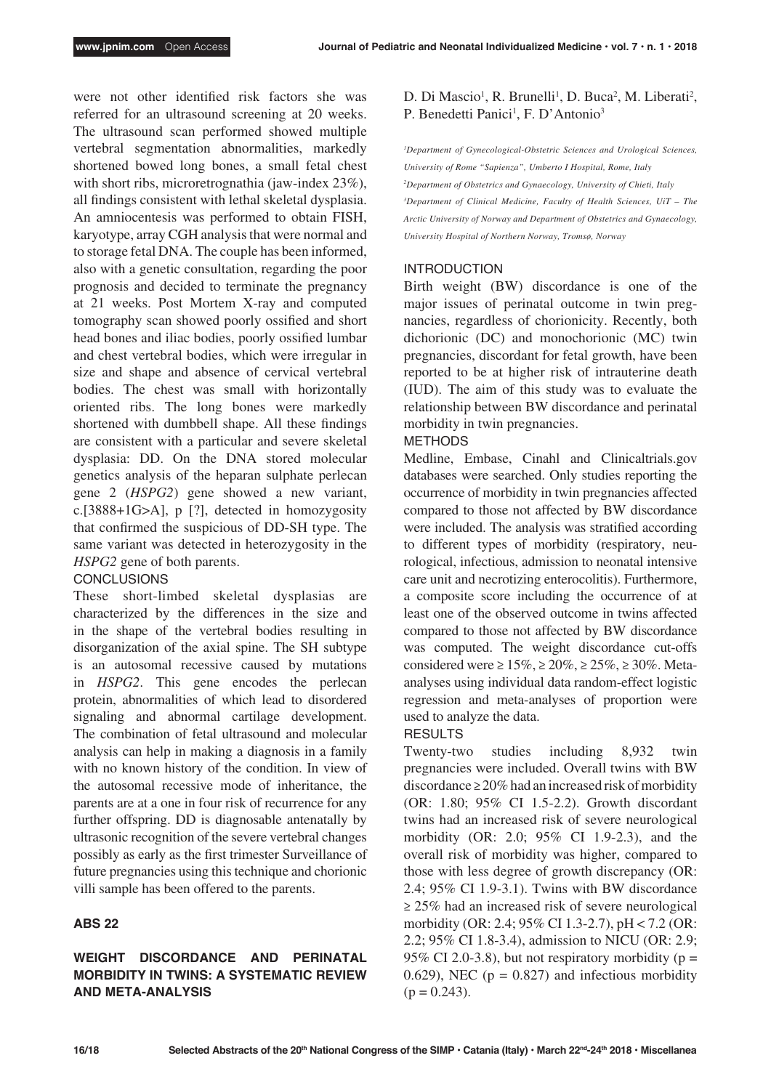were not other identified risk factors she was referred for an ultrasound screening at 20 weeks. The ultrasound scan performed showed multiple vertebral segmentation abnormalities, markedly shortened bowed long bones, a small fetal chest with short ribs, microretrognathia (jaw-index 23%), all findings consistent with lethal skeletal dysplasia. An amniocentesis was performed to obtain FISH, karyotype, array CGH analysis that were normal and to storage fetal DNA. The couple has been informed, also with a genetic consultation, regarding the poor prognosis and decided to terminate the pregnancy at 21 weeks. Post Mortem X-ray and computed tomography scan showed poorly ossified and short head bones and iliac bodies, poorly ossified lumbar and chest vertebral bodies, which were irregular in size and shape and absence of cervical vertebral bodies. The chest was small with horizontally oriented ribs. The long bones were markedly shortened with dumbbell shape. All these findings are consistent with a particular and severe skeletal dysplasia: DD. On the DNA stored molecular genetics analysis of the heparan sulphate perlecan gene 2 (*HSPG2*) gene showed a new variant, c.[3888+1G>A], p [?], detected in homozygosity that confirmed the suspicious of DD-SH type. The same variant was detected in heterozygosity in the *HSPG2* gene of both parents.

## CONCLUSIONS

These short-limbed skeletal dysplasias are characterized by the differences in the size and in the shape of the vertebral bodies resulting in disorganization of the axial spine. The SH subtype is an autosomal recessive caused by mutations in *HSPG2*. This gene encodes the perlecan protein, abnormalities of which lead to disordered signaling and abnormal cartilage development. The combination of fetal ultrasound and molecular analysis can help in making a diagnosis in a family with no known history of the condition. In view of the autosomal recessive mode of inheritance, the parents are at a one in four risk of recurrence for any further offspring. DD is diagnosable antenatally by ultrasonic recognition of the severe vertebral changes possibly as early as the first trimester Surveillance of future pregnancies using this technique and chorionic villi sample has been offered to the parents.

#### **ABS 22**

# **WEIGHT DISCORDANCE AND PERINATAL MORBIDITY IN TWINS: A SYSTEMATIC REVIEW AND META-ANALYSIS**

# D. Di Mascio<sup>1</sup>, R. Brunelli<sup>1</sup>, D. Buca<sup>2</sup>, M. Liberati<sup>2</sup>, P. Benedetti Panici<sup>1</sup>, F. D'Antonio<sup>3</sup>

*1 Department of Gynecological-Obstetric Sciences and Urological Sciences, University of Rome "Sapienza", Umberto I Hospital, Rome, Italy 2 Department of Obstetrics and Gynaecology, University of Chieti, Italy 3 Department of Clinical Medicine, Faculty of Health Sciences, UiT – The Arctic University of Norway and Department of Obstetrics and Gynaecology, University Hospital of Northern Norway, Tromsø, Norway*

## INTRODUCTION

Birth weight (BW) discordance is one of the major issues of perinatal outcome in twin pregnancies, regardless of chorionicity. Recently, both dichorionic (DC) and monochorionic (MC) twin pregnancies, discordant for fetal growth, have been reported to be at higher risk of intrauterine death (IUD). The aim of this study was to evaluate the relationship between BW discordance and perinatal morbidity in twin pregnancies.

#### METHODS

Medline, Embase, Cinahl and Clinicaltrials.gov databases were searched. Only studies reporting the occurrence of morbidity in twin pregnancies affected compared to those not affected by BW discordance were included. The analysis was stratified according to different types of morbidity (respiratory, neurological, infectious, admission to neonatal intensive care unit and necrotizing enterocolitis). Furthermore, a composite score including the occurrence of at least one of the observed outcome in twins affected compared to those not affected by BW discordance was computed. The weight discordance cut-offs considered were  $\geq 15\%$ ,  $\geq 20\%$ ,  $\geq 25\%$ ,  $\geq 30\%$ . Metaanalyses using individual data random-effect logistic regression and meta-analyses of proportion were used to analyze the data.

#### RESULTS

Twenty-two studies including 8,932 twin pregnancies were included. Overall twins with BW discordance ≥ 20% had an increased risk of morbidity (OR: 1.80; 95% CI 1.5-2.2). Growth discordant twins had an increased risk of severe neurological morbidity (OR: 2.0; 95% CI 1.9-2.3), and the overall risk of morbidity was higher, compared to those with less degree of growth discrepancy (OR: 2.4; 95% CI 1.9-3.1). Twins with BW discordance ≥ 25% had an increased risk of severe neurological morbidity (OR: 2.4; 95% CI 1.3-2.7), pH < 7.2 (OR: 2.2; 95% CI 1.8-3.4), admission to NICU (OR: 2.9; 95% CI 2.0-3.8), but not respiratory morbidity ( $p =$ 0.629), NEC ( $p = 0.827$ ) and infectious morbidity  $(p = 0.243)$ .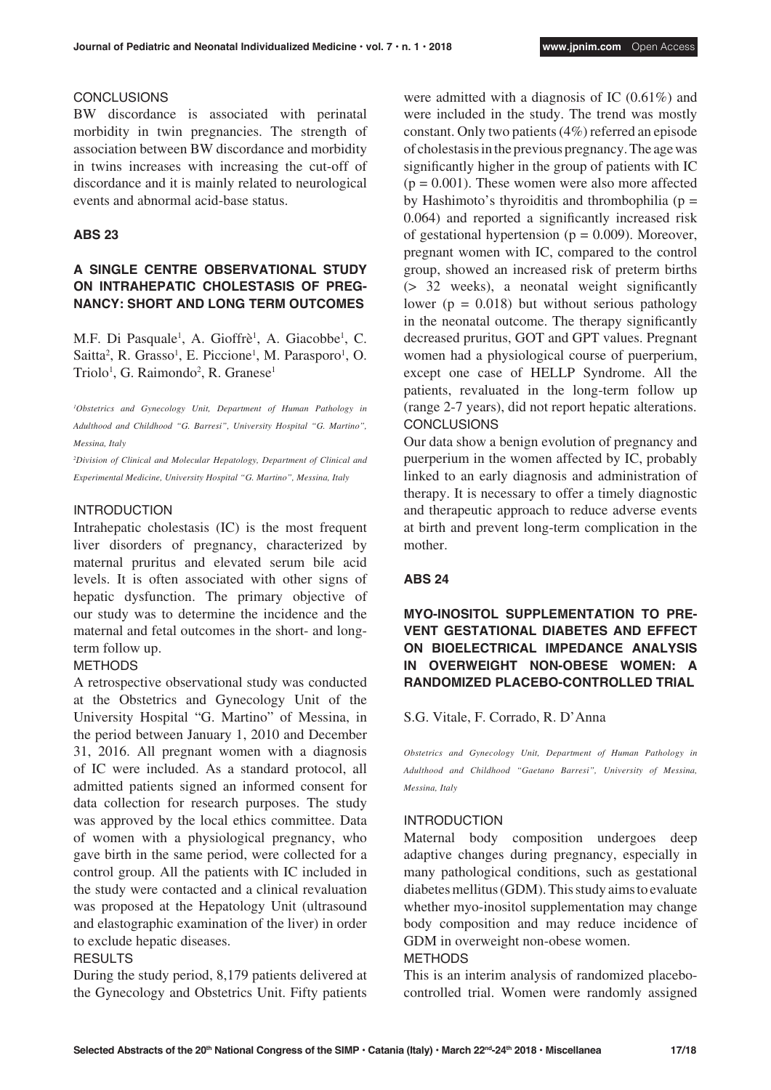BW discordance is associated with perinatal morbidity in twin pregnancies. The strength of association between BW discordance and morbidity in twins increases with increasing the cut-off of discordance and it is mainly related to neurological events and abnormal acid-base status.

## **ABS 23**

# **A SINGLE CENTRE OBSERVATIONAL STUDY ON INTRAHEPATIC CHOLESTASIS OF PREG-NANCY: SHORT AND LONG TERM OUTCOMES**

M.F. Di Pasquale<sup>1</sup>, A. Gioffrè<sup>1</sup>, A. Giacobbe<sup>1</sup>, C. Saitta<sup>2</sup>, R. Grasso<sup>1</sup>, E. Piccione<sup>1</sup>, M. Parasporo<sup>1</sup>, O. Triolo<sup>1</sup>, G. Raimondo<sup>2</sup>, R. Granese<sup>1</sup>

*1 Obstetrics and Gynecology Unit, Department of Human Pathology in Adulthood and Childhood "G. Barresi", University Hospital "G. Martino", Messina, Italy*

*2 Division of Clinical and Molecular Hepatology, Department of Clinical and Experimental Medicine, University Hospital "G. Martino", Messina, Italy*

#### INTRODUCTION

Intrahepatic cholestasis (IC) is the most frequent liver disorders of pregnancy, characterized by maternal pruritus and elevated serum bile acid levels. It is often associated with other signs of hepatic dysfunction. The primary objective of our study was to determine the incidence and the maternal and fetal outcomes in the short- and longterm follow up.

#### METHODS

A retrospective observational study was conducted at the Obstetrics and Gynecology Unit of the University Hospital "G. Martino" of Messina, in the period between January 1, 2010 and December 31, 2016. All pregnant women with a diagnosis of IC were included. As a standard protocol, all admitted patients signed an informed consent for data collection for research purposes. The study was approved by the local ethics committee. Data of women with a physiological pregnancy, who gave birth in the same period, were collected for a control group. All the patients with IC included in the study were contacted and a clinical revaluation was proposed at the Hepatology Unit (ultrasound and elastographic examination of the liver) in order to exclude hepatic diseases.

#### RESULTS

During the study period, 8,179 patients delivered at the Gynecology and Obstetrics Unit. Fifty patients were admitted with a diagnosis of IC (0.61%) and were included in the study. The trend was mostly constant. Only two patients (4%) referred an episode of cholestasis in the previous pregnancy. The age was significantly higher in the group of patients with IC  $(p = 0.001)$ . These women were also more affected by Hashimoto's thyroiditis and thrombophilia ( $p =$ 0.064) and reported a significantly increased risk of gestational hypertension ( $p = 0.009$ ). Moreover, pregnant women with IC, compared to the control group, showed an increased risk of preterm births (> 32 weeks), a neonatal weight significantly lower ( $p = 0.018$ ) but without serious pathology in the neonatal outcome. The therapy significantly decreased pruritus, GOT and GPT values. Pregnant women had a physiological course of puerperium, except one case of HELLP Syndrome. All the patients, revaluated in the long-term follow up (range 2-7 years), did not report hepatic alterations. **CONCLUSIONS** 

Our data show a benign evolution of pregnancy and puerperium in the women affected by IC, probably linked to an early diagnosis and administration of therapy. It is necessary to offer a timely diagnostic and therapeutic approach to reduce adverse events at birth and prevent long-term complication in the mother.

## **ABS 24**

# **MYO-INOSITOL SUPPLEMENTATION TO PRE-VENT GESTATIONAL DIABETES AND EFFECT ON BIOELECTRICAL IMPEDANCE ANALYSIS IN OVERWEIGHT NON-OBESE WOMEN: A RANDOMIZED PLACEBO-CONTROLLED TRIAL**

S.G. Vitale, F. Corrado, R. D'Anna

*Obstetrics and Gynecology Unit, Department of Human Pathology in Adulthood and Childhood "Gaetano Barresi", University of Messina, Messina, Italy*

#### INTRODUCTION

Maternal body composition undergoes deep adaptive changes during pregnancy, especially in many pathological conditions, such as gestational diabetes mellitus (GDM). This study aims to evaluate whether myo-inositol supplementation may change body composition and may reduce incidence of GDM in overweight non-obese women.

#### METHODS

This is an interim analysis of randomized placebocontrolled trial. Women were randomly assigned